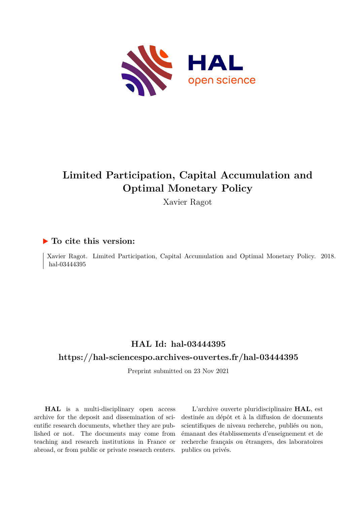

## **Limited Participation, Capital Accumulation and Optimal Monetary Policy**

Xavier Ragot

## **To cite this version:**

Xavier Ragot. Limited Participation, Capital Accumulation and Optimal Monetary Policy. 2018. hal-03444395

## **HAL Id: hal-03444395**

## **<https://hal-sciencespo.archives-ouvertes.fr/hal-03444395>**

Preprint submitted on 23 Nov 2021

**HAL** is a multi-disciplinary open access archive for the deposit and dissemination of scientific research documents, whether they are published or not. The documents may come from teaching and research institutions in France or abroad, or from public or private research centers.

L'archive ouverte pluridisciplinaire **HAL**, est destinée au dépôt et à la diffusion de documents scientifiques de niveau recherche, publiés ou non, émanant des établissements d'enseignement et de recherche français ou étrangers, des laboratoires publics ou privés.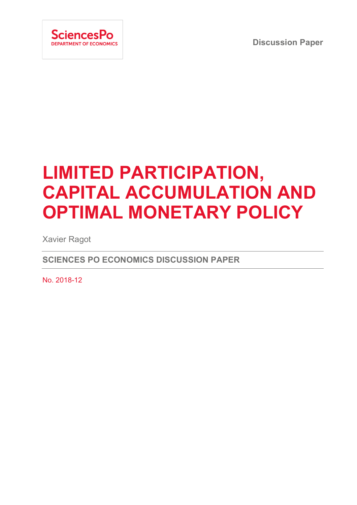**Discussion Paper**



# **LIMITED PARTICIPATION, CAPITAL ACCUMULATION AND OPTIMAL MONETARY POLICY**

Xavier Ragot

**SCIENCES PO ECONOMICS DISCUSSION PAPER**

No. 2018-12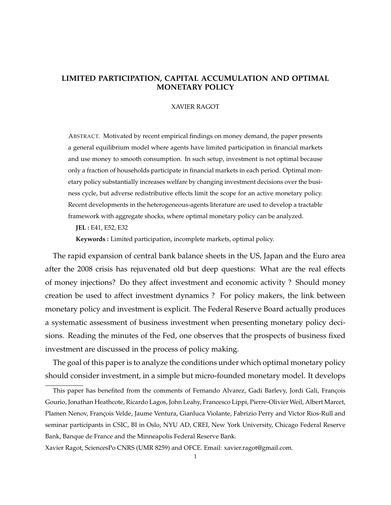## **LIMITED PARTICIPATION, CAPITAL ACCUMULATION AND OPTIMAL MONETARY POLICY**

#### XAVIER RAGOT

ABSTRACT. Motivated by recent empirical findings on money demand, the paper presents a general equilibrium model where agents have limited participation in financial markets and use money to smooth consumption. In such setup, investment is not optimal because only a fraction of households participate in financial markets in each period. Optimal monetary policy substantially increases welfare by changing investment decisions over the business cycle, but adverse redistributive effects limit the scope for an active monetary policy. Recent developments in the heterogeneous-agents literature are used to develop a tractable framework with aggregate shocks, where optimal monetary policy can be analyzed.

**JEL :** E41, E52, E32

**Keywords :** Limited participation, incomplete markets, optimal policy.

The rapid expansion of central bank balance sheets in the US, Japan and the Euro area after the 2008 crisis has rejuvenated old but deep questions: What are the real effects of money injections? Do they affect investment and economic activity ? Should money creation be used to affect investment dynamics ? For policy makers, the link between monetary policy and investment is explicit. The Federal Reserve Board actually produces a systematic assessment of business investment when presenting monetary policy decisions. Reading the minutes of the Fed, one observes that the prospects of business fixed investment are discussed in the process of policy making.

The goal of this paper is to analyze the conditions under which optimal monetary policy should consider investment, in a simple but micro-founded monetary model. It develops

This paper has benefited from the comments of Fernando Alvarez, Gadi Barlevy, Jordi Gali, François Gourio, Jonathan Heathcote, Ricardo Lagos, John Leahy, Francesco Lippi, Pierre-Olivier Weil, Albert Marcet, Plamen Nenov, François Velde, Jaume Ventura, Gianluca Violante, Fabrizio Perry and Victor Rios-Rull and seminar participants in CSIC, BI in Oslo, NYU AD, CREI, New York University, Chicago Federal Reserve Bank, Banque de France and the Minneapolis Federal Reserve Bank.

Xavier Ragot, SciencesPo CNRS (UMR 8259) and OFCE. Email: xavier.ragot@gmail.com.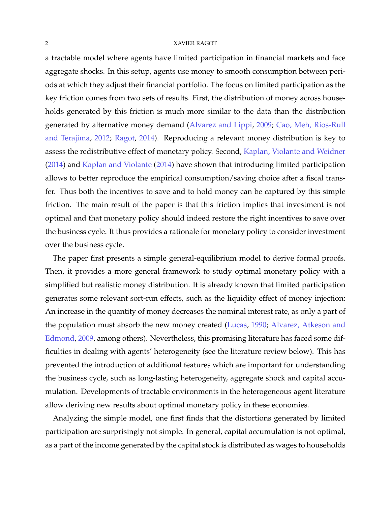a tractable model where agents have limited participation in financial markets and face aggregate shocks. In this setup, agents use money to smooth consumption between periods at which they adjust their financial portfolio. The focus on limited participation as the key friction comes from two sets of results. First, the distribution of money across households generated by this friction is much more similar to the data than the distribution generated by alternative money demand (Alvarez and Lippi, 2009; Cao, Meh, Rios-Rull and Terajima, 2012; Ragot, 2014). Reproducing a relevant money distribution is key to assess the redistributive effect of monetary policy. Second, Kaplan, Violante and Weidner (2014) and Kaplan and Violante (2014) have shown that introducing limited participation allows to better reproduce the empirical consumption/saving choice after a fiscal transfer. Thus both the incentives to save and to hold money can be captured by this simple friction. The main result of the paper is that this friction implies that investment is not optimal and that monetary policy should indeed restore the right incentives to save over the business cycle. It thus provides a rationale for monetary policy to consider investment over the business cycle.

The paper first presents a simple general-equilibrium model to derive formal proofs. Then, it provides a more general framework to study optimal monetary policy with a simplified but realistic money distribution. It is already known that limited participation generates some relevant sort-run effects, such as the liquidity effect of money injection: An increase in the quantity of money decreases the nominal interest rate, as only a part of the population must absorb the new money created (Lucas, 1990; Alvarez, Atkeson and Edmond, 2009, among others). Nevertheless, this promising literature has faced some difficulties in dealing with agents' heterogeneity (see the literature review below). This has prevented the introduction of additional features which are important for understanding the business cycle, such as long-lasting heterogeneity, aggregate shock and capital accumulation. Developments of tractable environments in the heterogeneous agent literature allow deriving new results about optimal monetary policy in these economies.

Analyzing the simple model, one first finds that the distortions generated by limited participation are surprisingly not simple. In general, capital accumulation is not optimal, as a part of the income generated by the capital stock is distributed as wages to households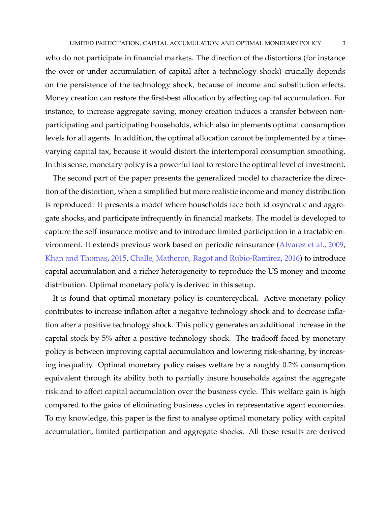who do not participate in financial markets. The direction of the distortions (for instance the over or under accumulation of capital after a technology shock) crucially depends on the persistence of the technology shock, because of income and substitution effects. Money creation can restore the first-best allocation by affecting capital accumulation. For instance, to increase aggregate saving, money creation induces a transfer between nonparticipating and participating households, which also implements optimal consumption levels for all agents. In addition, the optimal allocation cannot be implemented by a timevarying capital tax, because it would distort the intertemporal consumption smoothing. In this sense, monetary policy is a powerful tool to restore the optimal level of investment.

The second part of the paper presents the generalized model to characterize the direction of the distortion, when a simplified but more realistic income and money distribution is reproduced. It presents a model where households face both idiosyncratic and aggregate shocks, and participate infrequently in financial markets. The model is developed to capture the self-insurance motive and to introduce limited participation in a tractable environment. It extends previous work based on periodic reinsurance (Alvarez et al., 2009, Khan and Thomas, 2015, Challe, Matheron, Ragot and Rubio-Ramirez, 2016) to introduce capital accumulation and a richer heterogeneity to reproduce the US money and income distribution. Optimal monetary policy is derived in this setup.

It is found that optimal monetary policy is countercyclical. Active monetary policy contributes to increase inflation after a negative technology shock and to decrease inflation after a positive technology shock. This policy generates an additional increase in the capital stock by 5% after a positive technology shock. The tradeoff faced by monetary policy is between improving capital accumulation and lowering risk-sharing, by increasing inequality. Optimal monetary policy raises welfare by a roughly 0.2% consumption equivalent through its ability both to partially insure households against the aggregate risk and to affect capital accumulation over the business cycle. This welfare gain is high compared to the gains of eliminating business cycles in representative agent economies. To my knowledge, this paper is the first to analyse optimal monetary policy with capital accumulation, limited participation and aggregate shocks. All these results are derived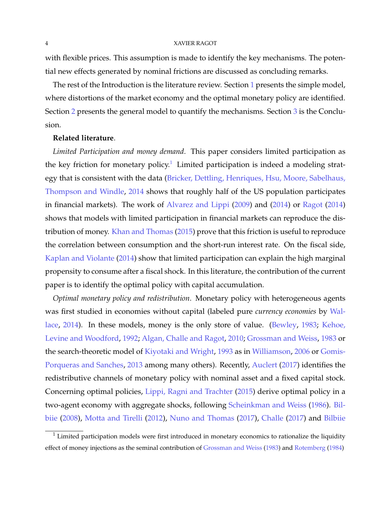with flexible prices. This assumption is made to identify the key mechanisms. The potential new effects generated by nominal frictions are discussed as concluding remarks.

The rest of the Introduction is the literature review. Section 1 presents the simple model, where distortions of the market economy and the optimal monetary policy are identified. Section 2 presents the general model to quantify the mechanisms. Section 3 is the Conclusion.

#### **Related literature**.

*Limited Participation and money demand*. This paper considers limited participation as the key friction for monetary policy.<sup>1</sup> Limited participation is indeed a modeling strategy that is consistent with the data (Bricker, Dettling, Henriques, Hsu, Moore, Sabelhaus, Thompson and Windle, 2014 shows that roughly half of the US population participates in financial markets). The work of Alvarez and Lippi (2009) and (2014) or Ragot (2014) shows that models with limited participation in financial markets can reproduce the distribution of money. Khan and Thomas (2015) prove that this friction is useful to reproduce the correlation between consumption and the short-run interest rate. On the fiscal side, Kaplan and Violante (2014) show that limited participation can explain the high marginal propensity to consume after a fiscal shock. In this literature, the contribution of the current paper is to identify the optimal policy with capital accumulation.

*Optimal monetary policy and redistribution*. Monetary policy with heterogeneous agents was first studied in economies without capital (labeled pure *currency economies* by Wallace, 2014). In these models, money is the only store of value. (Bewley, 1983; Kehoe, Levine and Woodford, 1992; Algan, Challe and Ragot, 2010; Grossman and Weiss, 1983 or the search-theoretic model of Kiyotaki and Wright, 1993 as in Williamson, 2006 or Gomis-Porqueras and Sanches, 2013 among many others). Recently, Auclert (2017) identifies the redistributive channels of monetary policy with nominal asset and a fixed capital stock. Concerning optimal policies, Lippi, Ragni and Trachter (2015) derive optimal policy in a two-agent economy with aggregate shocks, following Scheinkman and Weiss (1986). Bilbiie (2008), Motta and Tirelli (2012), Nuno and Thomas (2017), Challe (2017) and Bilbiie

 $1$  Limited participation models were first introduced in monetary economics to rationalize the liquidity effect of money injections as the seminal contribution of Grossman and Weiss (1983) and Rotemberg (1984)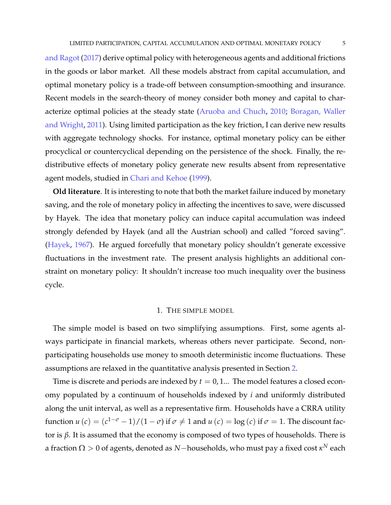and Ragot (2017) derive optimal policy with heterogeneous agents and additional frictions in the goods or labor market. All these models abstract from capital accumulation, and optimal monetary policy is a trade-off between consumption-smoothing and insurance. Recent models in the search-theory of money consider both money and capital to characterize optimal policies at the steady state (Aruoba and Chuch, 2010; Boragan, Waller and Wright, 2011). Using limited participation as the key friction, I can derive new results with aggregate technology shocks. For instance, optimal monetary policy can be either procyclical or countercyclical depending on the persistence of the shock. Finally, the redistributive effects of monetary policy generate new results absent from representative agent models, studied in Chari and Kehoe (1999).

**Old literature**. It is interesting to note that both the market failure induced by monetary saving, and the role of monetary policy in affecting the incentives to save, were discussed by Hayek. The idea that monetary policy can induce capital accumulation was indeed strongly defended by Hayek (and all the Austrian school) and called "forced saving". (Hayek, 1967). He argued forcefully that monetary policy shouldn't generate excessive fluctuations in the investment rate. The present analysis highlights an additional constraint on monetary policy: It shouldn't increase too much inequality over the business cycle.

#### 1. THE SIMPLE MODEL

The simple model is based on two simplifying assumptions. First, some agents always participate in financial markets, whereas others never participate. Second, nonparticipating households use money to smooth deterministic income fluctuations. These assumptions are relaxed in the quantitative analysis presented in Section 2.

Time is discrete and periods are indexed by  $t = 0, 1...$  The model features a closed economy populated by a continuum of households indexed by *i* and uniformly distributed along the unit interval, as well as a representative firm. Households have a CRRA utility function  $u(c) = (c^{1-\sigma}-1)/(1-\sigma)$  if  $\sigma \neq 1$  and  $u(c) = \log(c)$  if  $\sigma = 1$ . The discount factor is *β*. It is assumed that the economy is composed of two types of households. There is a fraction  $\Omega > 0$  of agents, denoted as  $N-$ households, who must pay a fixed cost  $\kappa^N$  each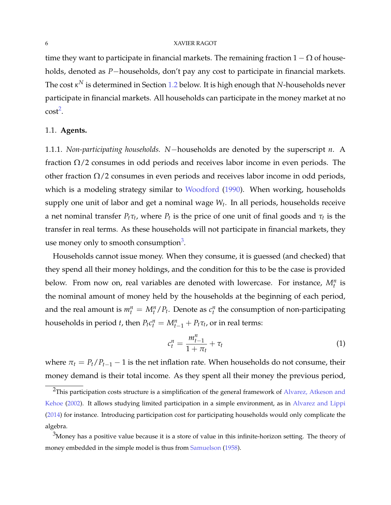time they want to participate in financial markets. The remaining fraction  $1 - \Omega$  of households, denoted as *P*−households, don't pay any cost to participate in financial markets. The cost *κ <sup>N</sup>* is determined in Section 1.2 below. It is high enough that *N*-households never participate in financial markets. All households can participate in the money market at no  $cost^2$ .

#### 1.1. **Agents.**

1.1.1. *Non-participating households. N*−households are denoted by the superscript *n*. A fraction  $\Omega/2$  consumes in odd periods and receives labor income in even periods. The other fraction  $\Omega/2$  consumes in even periods and receives labor income in odd periods, which is a modeling strategy similar to Woodford (1990). When working, households supply one unit of labor and get a nominal wage *W<sup>t</sup>* . In all periods, households receive a net nominal transfer  $P_t\tau_t$ , where  $P_t$  is the price of one unit of final goods and  $\tau_t$  is the transfer in real terms. As these households will not participate in financial markets, they use money only to smooth consumption<sup>3</sup>.

Households cannot issue money. When they consume, it is guessed (and checked) that they spend all their money holdings, and the condition for this to be the case is provided below. From now on, real variables are denoted with lowercase. For instance,  $M_t^n$  is the nominal amount of money held by the households at the beginning of each period, and the real amount is  $m_t^n = M_t^n / P_t$ . Denote as  $c_t^n$  the consumption of non-participating households in period *t*, then  $P_t c_t^n = M_{t-1}^n + P_t \tau_t$ , or in real terms:

$$
c_t^n = \frac{m_{t-1}^n}{1 + \pi_t} + \tau_t
$$
 (1)

where  $\pi_t = P_t/P_{t-1} - 1$  is the net inflation rate. When households do not consume, their money demand is their total income. As they spent all their money the previous period,

<sup>&</sup>lt;sup>2</sup>This participation costs structure is a simplification of the general framework of Alvarez, Atkeson and Kehoe (2002). It allows studying limited participation in a simple environment, as in Alvarez and Lippi (2014) for instance. Introducing participation cost for participating households would only complicate the algebra.

 $3$ Money has a positive value because it is a store of value in this infinite-horizon setting. The theory of money embedded in the simple model is thus from Samuelson (1958).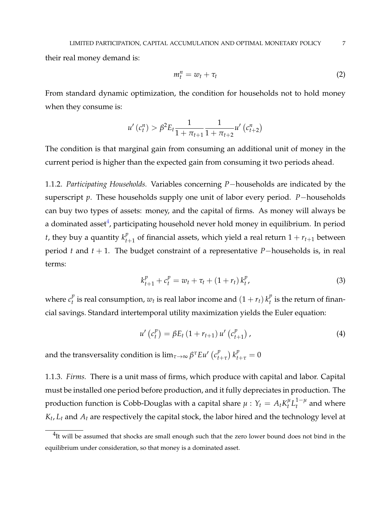their real money demand is:

$$
m_t^n = w_t + \tau_t \tag{2}
$$

From standard dynamic optimization, the condition for households not to hold money when they consume is:

$$
u'(c_t^n) > \beta^2 E_t \frac{1}{1 + \pi_{t+1}} \frac{1}{1 + \pi_{t+2}} u'(c_{t+2}^n)
$$

The condition is that marginal gain from consuming an additional unit of money in the current period is higher than the expected gain from consuming it two periods ahead.

1.1.2. *Participating Households.* Variables concerning *P*−households are indicated by the superscript *p*. These households supply one unit of labor every period. *P*−households can buy two types of assets: money, and the capital of firms. As money will always be a dominated asset $^4$ , participating household never hold money in equilibrium. In period *t*, they buy a quantity  $k_t^p$  $t_{t+1}^p$  of financial assets, which yield a real return  $1 + r_{t+1}$  between period *t* and *t* + 1. The budget constraint of a representative *P*−households is, in real terms:

$$
k_{t+1}^{p} + c_{t}^{p} = w_{t} + \tau_{t} + (1 + r_{t}) k_{t}^{p}, \qquad (3)
$$

where  $c_t^p$  $\frac{p}{t}$  is real consumption,  $w_t$  is real labor income and  $(1 + r_t)$   $k_t^p$  $t \atop t$  is the return of financial savings. Standard intertemporal utility maximization yields the Euler equation:

$$
u'\left(c_t^p\right) = \beta E_t \left(1 + r_{t+1}\right) u'\left(c_{t+1}^p\right),\tag{4}
$$

and the transversality condition is  $\lim_{\tau\rightarrow\infty}\beta^{\tau}E u^{\prime}\left(c_{t}^{p}\right)$  $\int_{t+\tau}^{p} k_{t+\tau}^{p} = 0$ 

1.1.3. *Firms.* There is a unit mass of firms, which produce with capital and labor. Capital must be installed one period before production, and it fully depreciates in production. The production function is Cobb-Douglas with a capital share  $\mu$  :  $Y_t = A_t K_t^{\mu}$  $\frac{\mu}{t} L_t^{1-\mu}$  $t^{1-\mu}$  and where *Kt* , *L<sup>t</sup>* and *A<sup>t</sup>* are respectively the capital stock, the labor hired and the technology level at

 $^{4}$ It will be assumed that shocks are small enough such that the zero lower bound does not bind in the equilibrium under consideration, so that money is a dominated asset.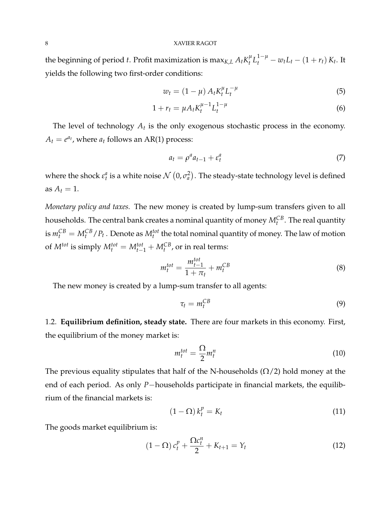the beginning of period *t*. Profit maximization is max $_{K,L}$   $A_t K_t^{\mu}$  $t^{u}L_{t}^{1-\mu} - w_{t}L_{t} - (1+r_{t})K_{t}$ . It yields the following two first-order conditions:

$$
w_t = (1 - \mu) A_t K_t^{\mu} L_t^{-\mu}
$$
\n(5)

$$
1 + r_t = \mu A_t K_t^{\mu - 1} L_t^{1 - \mu}
$$
 (6)

The level of technology *A<sup>t</sup>* is the only exogenous stochastic process in the economy.  $A_t = e^{a_t}$ , where  $a_t$  follows an AR(1) process:

$$
a_t = \rho^a a_{t-1} + \varepsilon_t^a \tag{7}
$$

where the shock  $\varepsilon_t^a$  is a white noise  $\mathcal{N}\left(0,\sigma_a^2\right)$ . The steady-state technology level is defined as  $A_t = 1$ .

*Monetary policy and taxes.* The new money is created by lump-sum transfers given to all households. The central bank creates a nominal quantity of money  $M_t^{CB}$ . The real quantity is  $m_t^{CB} = M_t^{CB} / P_t$  . Denote as  $M_t^{tot}$  the total nominal quantity of money. The law of motion of  $M^{tot}$  is simply  $M_t^{tot} = M_{t-1}^{tot} + M_t^{CB}$ , or in real terms:

$$
m_t^{tot} = \frac{m_{t-1}^{tot}}{1 + \pi_t} + m_t^{CB}
$$
\n
$$
\tag{8}
$$

The new money is created by a lump-sum transfer to all agents:

$$
\tau_t = m_t^{CB} \tag{9}
$$

1.2. **Equilibrium definition, steady state.** There are four markets in this economy. First, the equilibrium of the money market is:

$$
m_t^{tot} = \frac{\Omega}{2} m_t^n \tag{10}
$$

The previous equality stipulates that half of the N-households  $(\Omega/2)$  hold money at the end of each period. As only *P*−households participate in financial markets, the equilibrium of the financial markets is:

$$
(1 - \Omega) k_t^p = K_t \tag{11}
$$

The goods market equilibrium is:

$$
(1 - \Omega) c_t^p + \frac{\Omega c_t^n}{2} + K_{t+1} = Y_t \tag{12}
$$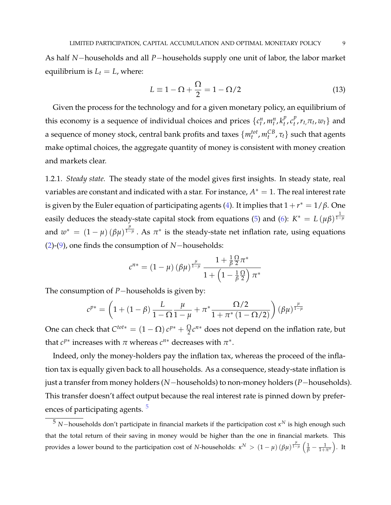As half *N*−households and all *P*−households supply one unit of labor, the labor market equilibrium is  $L_t = L$ , where:

$$
L \equiv 1 - \Omega + \frac{\Omega}{2} = 1 - \Omega/2 \tag{13}
$$

Given the process for the technology and for a given monetary policy, an equilibrium of this economy is a sequence of individual choices and prices  $\{c_t^n, m_t^n, k_t^p\}$  $\int_t^p$ ,  $c_t^p$  $t^{p}$ ,  $r_{t}$ ,  $\pi_{t}$ ,  $w_{t}$ } and a sequence of money stock, central bank profits and taxes  $\{m_t^{tot}, m_t^{CB}, \tau_t\}$  such that agents make optimal choices, the aggregate quantity of money is consistent with money creation and markets clear.

1.2.1. *Steady state.* The steady state of the model gives first insights. In steady state, real variables are constant and indicated with a star. For instance,  $A^* = 1$ . The real interest rate is given by the Euler equation of participating agents (4). It implies that  $1 + r^* = 1/\beta$ . One easily deduces the steady-state capital stock from equations (5) and (6):  $K^* = L(\mu \beta)^{\frac{1}{1-\mu}}$ and  $w^* = (1 - \mu) (\beta \mu)^{\frac{\mu}{1 - \mu}}$ . As  $\pi^*$  is the steady-state net inflation rate, using equations (2)-(9), one finds the consumption of *N*−households:

$$
c^{n*} = (1 - \mu) (\beta \mu)^{\frac{\mu}{1 - \mu}} \frac{1 + \frac{1}{\beta} \frac{\Omega}{2} \pi^*}{1 + \left(1 - \frac{1}{\beta} \frac{\Omega}{2}\right) \pi^*}
$$

The consumption of *P*−households is given by:

$$
c^{p*} = \left(1 + (1 - \beta) \frac{L}{1 - \Omega} \frac{\mu}{1 - \mu} + \pi^* \frac{\Omega/2}{1 + \pi^* (1 - \Omega/2)}\right) (\beta \mu)^{\frac{\mu}{1 - \mu}}
$$

One can check that  $C^{tot*} = (1 - \Omega) c^{p*} + \frac{\Omega}{2} c^{n*}$  does not depend on the inflation rate, but that  $c^{p*}$  increases with  $\pi$  whereas  $c^{n*}$  decreases with  $\pi^*$ .

Indeed, only the money-holders pay the inflation tax, whereas the proceed of the inflation tax is equally given back to all households. As a consequence, steady-state inflation is just a transfer from money holders (*N*−households) to non-money holders (*P*−households). This transfer doesn't affect output because the real interest rate is pinned down by preferences of participating agents.<sup>5</sup>

<sup>5</sup> *<sup>N</sup>*−households don't participate in financial markets if the participation cost *<sup>κ</sup> <sup>N</sup>* is high enough such that the total return of their saving in money would be higher than the one in financial markets. This provides a lower bound to the participation cost of *N*-households:  $κ^N > (1 - μ) (\beta μ)^{\frac{\mu}{1 - μ}} (\frac{1}{\beta} - \frac{1}{1 + π^*}).$  It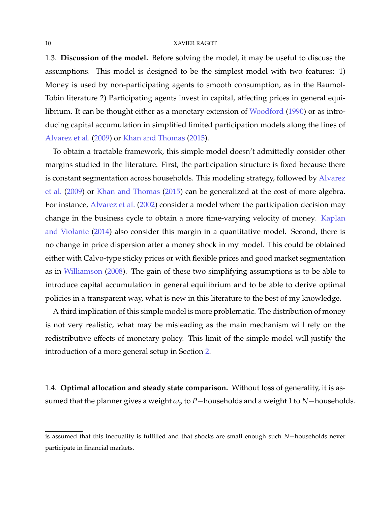1.3. **Discussion of the model.** Before solving the model, it may be useful to discuss the assumptions. This model is designed to be the simplest model with two features: 1) Money is used by non-participating agents to smooth consumption, as in the Baumol-Tobin literature 2) Participating agents invest in capital, affecting prices in general equilibrium. It can be thought either as a monetary extension of Woodford (1990) or as introducing capital accumulation in simplified limited participation models along the lines of Alvarez et al. (2009) or Khan and Thomas (2015).

To obtain a tractable framework, this simple model doesn't admittedly consider other margins studied in the literature. First, the participation structure is fixed because there is constant segmentation across households. This modeling strategy, followed by Alvarez et al. (2009) or Khan and Thomas (2015) can be generalized at the cost of more algebra. For instance, Alvarez et al. (2002) consider a model where the participation decision may change in the business cycle to obtain a more time-varying velocity of money. Kaplan and Violante (2014) also consider this margin in a quantitative model. Second, there is no change in price dispersion after a money shock in my model. This could be obtained either with Calvo-type sticky prices or with flexible prices and good market segmentation as in Williamson (2008). The gain of these two simplifying assumptions is to be able to introduce capital accumulation in general equilibrium and to be able to derive optimal policies in a transparent way, what is new in this literature to the best of my knowledge.

A third implication of this simple model is more problematic. The distribution of money is not very realistic, what may be misleading as the main mechanism will rely on the redistributive effects of monetary policy. This limit of the simple model will justify the introduction of a more general setup in Section 2.

1.4. **Optimal allocation and steady state comparison.** Without loss of generality, it is assumed that the planner gives a weight  $\omega_p$  to *P*−households and a weight 1 to *N*−households.

is assumed that this inequality is fulfilled and that shocks are small enough such *N*−households never participate in financial markets.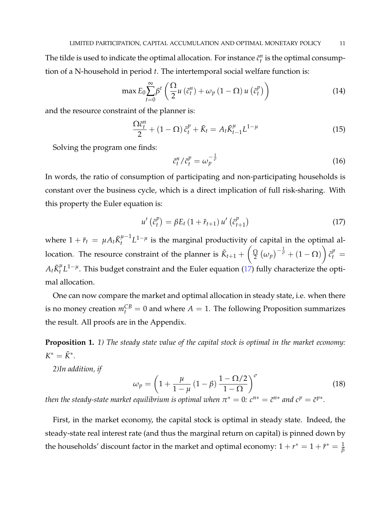The tilde is used to indicate the optimal allocation. For instance  $\tilde{c}^n_t$  is the optimal consumption of a N-household in period *t*. The intertemporal social welfare function is:

$$
\max E_0 \sum_{t=0}^{\infty} \beta^t \left( \frac{\Omega}{2} u \left( \tilde{c}_t^n \right) + \omega_p \left( 1 - \Omega \right) u \left( \tilde{c}_t^p \right) \right) \tag{14}
$$

and the resource constraint of the planner is:

$$
\frac{\Omega \tilde{c}_t^n}{2} + (1 - \Omega) \tilde{c}_t^p + \tilde{K}_t = A_t \tilde{K}_{t-1}^\mu L^{1-\mu}
$$
\n(15)

Solving the program one finds:

$$
\tilde{c}_t^n / \tilde{c}_t^p = \omega_p^{-\frac{1}{\sigma}} \tag{16}
$$

In words, the ratio of consumption of participating and non-participating households is constant over the business cycle, which is a direct implication of full risk-sharing. With this property the Euler equation is:

$$
u'\left(\tilde{c}_t^p\right) = \beta E_t \left(1 + \tilde{r}_{t+1}\right) u'\left(\tilde{c}_{t+1}^p\right) \tag{17}
$$

where  $1 + \tilde{r}_t = \mu A_t \tilde{K}_t^{\mu-1}$  $t^{\mu-1}L^{1-\mu}$  is the marginal productivity of capital in the optimal allocation. The resource constraint of the planner is  $\tilde{K}_{t+1} + \left(\frac{\Omega}{2}\right)$  $\frac{\Omega}{2} \left( \omega_p \right)^{-\frac{1}{\sigma}} + \left( 1 - \Omega \right)$  $\tilde{c}_t^p =$  $A_t \tilde{K}^\mu_t$ *<sup>µ</sup>* L<sup>1−µ</sup>. This budget constraint and the Euler equation (17) fully characterize the optimal allocation.

One can now compare the market and optimal allocation in steady state, i.e. when there is no money creation  $m_t^{CB} = 0$  and where  $A = 1$ . The following Proposition summarizes the result. All proofs are in the Appendix.

**Proposition 1.** *1) The steady state value of the capital stock is optimal in the market economy:*  $K^* = \tilde{K}^*$ .

*2)In addition, if*

$$
\omega_p = \left(1 + \frac{\mu}{1 - \mu} \left(1 - \beta\right) \frac{1 - \Omega/2}{1 - \Omega}\right)^{\sigma} \tag{18}
$$

*then the steady-state market equilibrium is optimal when*  $\pi^* = 0$ *:*  $c^{n*} = \tilde{c}^{n*}$  *and*  $c^p = \tilde{c}^{p*}$ *.* 

First, in the market economy, the capital stock is optimal in steady state. Indeed, the steady-state real interest rate (and thus the marginal return on capital) is pinned down by the households' discount factor in the market and optimal economy:  $1 + r^* = 1 + \tilde{r}^* = \frac{1}{\beta}$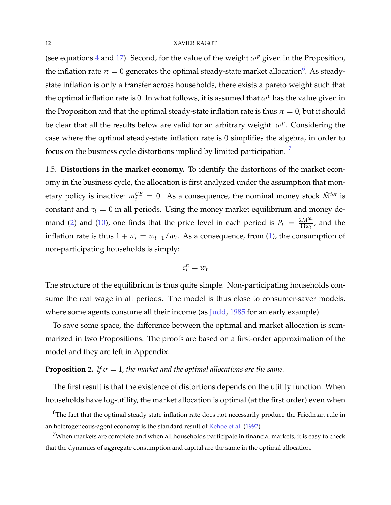(see equations 4 and 17). Second, for the value of the weight  $\omega^p$  given in the Proposition, the inflation rate  $\pi=0$  generates the optimal steady-state market allocation<sup>6</sup>. As steadystate inflation is only a transfer across households, there exists a pareto weight such that the optimal inflation rate is 0. In what follows, it is assumed that  $\omega^p$  has the value given in the Proposition and that the optimal steady-state inflation rate is thus  $\pi = 0$ , but it should be clear that all the results below are valid for an arbitrary weight *ω<sup>p</sup>* . Considering the case where the optimal steady-state inflation rate is 0 simplifies the algebra, in order to focus on the business cycle distortions implied by limited participation.<sup>7</sup>

1.5. **Distortions in the market economy.** To identify the distortions of the market economy in the business cycle, the allocation is first analyzed under the assumption that monetary policy is inactive:  $m_t^{CB} = 0$ . As a consequence, the nominal money stock  $\bar{M}^{tot}$  is constant and  $\tau_t = 0$  in all periods. Using the money market equilibrium and money demand (2) and (10), one finds that the price level in each period is  $P_t = \frac{2\tilde{M}^{tot}}{\Omega w_t}$ , and the inflation rate is thus  $1 + \pi_t = w_{t-1}/w_t$ . As a consequence, from (1), the consumption of non-participating households is simply:

$$
c_t^n = w_t
$$

The structure of the equilibrium is thus quite simple. Non-participating households consume the real wage in all periods. The model is thus close to consumer-saver models, where some agents consume all their income (as Judd, 1985 for an early example).

To save some space, the difference between the optimal and market allocation is summarized in two Propositions. The proofs are based on a first-order approximation of the model and they are left in Appendix.

#### **Proposition 2.** *If*  $\sigma = 1$ *, the market and the optimal allocations are the same.*

The first result is that the existence of distortions depends on the utility function: When households have log-utility, the market allocation is optimal (at the first order) even when

 $6$ The fact that the optimal steady-state inflation rate does not necessarily produce the Friedman rule in an heterogeneous-agent economy is the standard result of Kehoe et al. (1992)

 $7$ When markets are complete and when all households participate in financial markets, it is easy to check that the dynamics of aggregate consumption and capital are the same in the optimal allocation.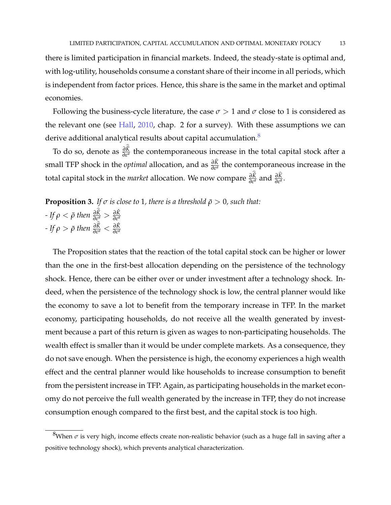there is limited participation in financial markets. Indeed, the steady-state is optimal and, with log-utility, households consume a constant share of their income in all periods, which is independent from factor prices. Hence, this share is the same in the market and optimal economies.

Following the business-cycle literature, the case  $\sigma > 1$  and  $\sigma$  close to 1 is considered as the relevant one (see Hall, 2010, chap. 2 for a survey). With these assumptions we can derive additional analytical results about capital accumulation.<sup>8</sup>

To do so, denote as  $\frac{\partial \tilde{K}}{\partial \epsilon^a}$  the contemporaneous increase in the total capital stock after a small TFP shock in the *optimal* allocation, and as  $\frac{\partial K}{\partial ε^a}$  the contemporaneous increase in the *t* otal capital stock in the *market* allocation. We now compare  $\frac{\partial \tilde{K}}{\partial \epsilon^a}$  and  $\frac{\partial \hat{K}}{\partial \epsilon^a}$ .

**Proposition 3.** *If*  $\sigma$  *is close to* 1*, there is a threshold*  $\bar{\rho} > 0$ *, such that:*  $-ff\,\rho < \bar{\rho}$  then  $\frac{\partial \tilde{K}}{\partial \varepsilon^a} > \frac{\partial \hat{K}}{\partial \varepsilon^a}$  $-ff \rho > \bar{\rho}$  then  $\frac{\partial \tilde{K}}{\partial \epsilon^a} < \frac{\partial \hat{K}}{\partial \epsilon^a}$ 

The Proposition states that the reaction of the total capital stock can be higher or lower than the one in the first-best allocation depending on the persistence of the technology shock. Hence, there can be either over or under investment after a technology shock. Indeed, when the persistence of the technology shock is low, the central planner would like the economy to save a lot to benefit from the temporary increase in TFP. In the market economy, participating households, do not receive all the wealth generated by investment because a part of this return is given as wages to non-participating households. The wealth effect is smaller than it would be under complete markets. As a consequence, they do not save enough. When the persistence is high, the economy experiences a high wealth effect and the central planner would like households to increase consumption to benefit from the persistent increase in TFP. Again, as participating households in the market economy do not perceive the full wealth generated by the increase in TFP, they do not increase consumption enough compared to the first best, and the capital stock is too high.

<sup>&</sup>lt;sup>8</sup>When  $\sigma$  is very high, income effects create non-realistic behavior (such as a huge fall in saving after a positive technology shock), which prevents analytical characterization.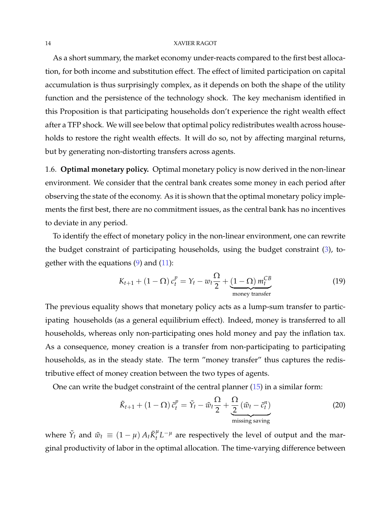As a short summary, the market economy under-reacts compared to the first best allocation, for both income and substitution effect. The effect of limited participation on capital accumulation is thus surprisingly complex, as it depends on both the shape of the utility function and the persistence of the technology shock. The key mechanism identified in this Proposition is that participating households don't experience the right wealth effect after a TFP shock. We will see below that optimal policy redistributes wealth across households to restore the right wealth effects. It will do so, not by affecting marginal returns, but by generating non-distorting transfers across agents.

1.6. **Optimal monetary policy.** Optimal monetary policy is now derived in the non-linear environment. We consider that the central bank creates some money in each period after observing the state of the economy. As it is shown that the optimal monetary policy implements the first best, there are no commitment issues, as the central bank has no incentives to deviate in any period.

To identify the effect of monetary policy in the non-linear environment, one can rewrite the budget constraint of participating households, using the budget constraint (3), together with the equations  $(9)$  and  $(11)$ :

$$
K_{t+1} + (1 - \Omega) c_t^p = Y_t - w_t \frac{\Omega}{2} + \underbrace{(1 - \Omega) m_t^{CB}}_{\text{money transfer}}
$$
 (19)

The previous equality shows that monetary policy acts as a lump-sum transfer to participating households (as a general equilibrium effect). Indeed, money is transferred to all households, whereas only non-participating ones hold money and pay the inflation tax. As a consequence, money creation is a transfer from non-participating to participating households, as in the steady state. The term "money transfer" thus captures the redistributive effect of money creation between the two types of agents.

One can write the budget constraint of the central planner (15) in a similar form:

$$
\tilde{K}_{t+1} + (1 - \Omega) \tilde{c}_t^p = \tilde{Y}_t - \tilde{w}_t \frac{\Omega}{2} + \underbrace{\frac{\Omega}{2} (\tilde{w}_t - \tilde{c}_t^n)}_{\text{missing saving}}
$$
\n(20)

where  $\tilde{Y}_t$  and  $\tilde{w}_t \equiv (1 - \mu) A_t \tilde{K}_t^{\mu}$  $t<sup>\mu</sup>$  *L*<sup>- $\mu$ </sup> are respectively the level of output and the marginal productivity of labor in the optimal allocation. The time-varying difference between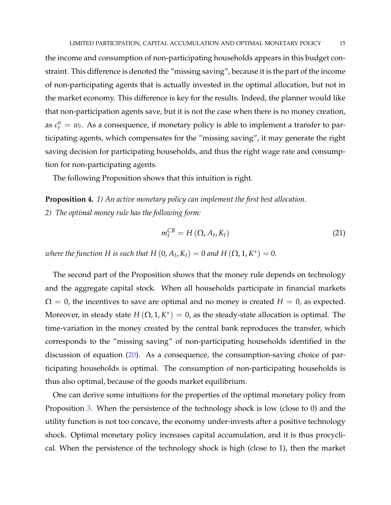the income and consumption of non-participating households appears in this budget constraint. This difference is denoted the "missing saving", because it is the part of the income of non-participating agents that is actually invested in the optimal allocation, but not in the market economy. This difference is key for the results. Indeed, the planner would like that non-participation agents save, but it is not the case when there is no money creation, as  $c_t^n = w_t$ . As a consequence, if monetary policy is able to implement a transfer to participating agents, which compensates for the "missing saving", it may generate the right saving decision for participating households, and thus the right wage rate and consumption for non-participating agents.

The following Proposition shows that this intuition is right.

**Proposition 4.** *1) An active monetary policy can implement the first best allocation. 2) The optimal money rule has the following form:*

$$
m_t^{CB} = H(\Omega, A_t, K_t)
$$
 (21)

*where the function H is such that H*  $(0, A_t, K_t) = 0$  *and H*  $(\Omega, 1, K^*) = 0$ *.* 

The second part of the Proposition shows that the money rule depends on technology and the aggregate capital stock. When all households participate in financial markets  $\Omega = 0$ , the incentives to save are optimal and no money is created  $H = 0$ , as expected. Moreover, in steady state  $H(\Omega, 1, K^*) = 0$ , as the steady-state allocation is optimal. The time-variation in the money created by the central bank reproduces the transfer, which corresponds to the "missing saving" of non-participating households identified in the discussion of equation (20). As a consequence, the consumption-saving choice of participating households is optimal. The consumption of non-participating households is thus also optimal, because of the goods market equilibrium.

One can derive some intuitions for the properties of the optimal monetary policy from Proposition 3. When the persistence of the technology shock is low (close to 0) and the utility function is not too concave, the economy under-invests after a positive technology shock. Optimal monetary policy increases capital accumulation, and it is thus procyclical. When the persistence of the technology shock is high (close to 1), then the market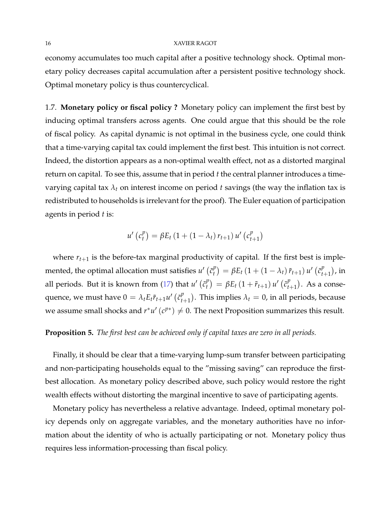economy accumulates too much capital after a positive technology shock. Optimal monetary policy decreases capital accumulation after a persistent positive technology shock. Optimal monetary policy is thus countercyclical.

1.7. **Monetary policy or fiscal policy ?** Monetary policy can implement the first best by inducing optimal transfers across agents. One could argue that this should be the role of fiscal policy. As capital dynamic is not optimal in the business cycle, one could think that a time-varying capital tax could implement the first best. This intuition is not correct. Indeed, the distortion appears as a non-optimal wealth effect, not as a distorted marginal return on capital. To see this, assume that in period *t* the central planner introduces a timevarying capital tax  $\lambda_t$  on interest income on period  $t$  savings (the way the inflation tax is redistributed to households is irrelevant for the proof). The Euler equation of participation agents in period *t* is:

$$
u'\left(c_{t}^{p}\right) = \beta E_{t}\left(1 + \left(1 - \lambda_{t}\right)r_{t+1}\right)u'\left(c_{t+1}^{p}\right)
$$

where  $r_{t+1}$  is the before-tax marginal productivity of capital. If the first best is implemented, the optimal allocation must satisfies  $u'$  ( $\tilde{c}_t^p$  $\int_{t}^{p}$ ) =  $\beta E_t (1 + (1 - \lambda_t) \tilde{r}_{t+1}) u' (\tilde{c}_t^{p})$  $_{t+1}^{p}$ ), in all periods. But it is known from  $(17)$  that  $u'$  ( $\tilde{c}_t^p$  $\binom{p}{t} = \beta E_t (1 + \tilde{r}_{t+1}) u' (\tilde{c}_t^p)$  $_{t+1}^{p}$ ). As a consequence, we must have  $0 = \lambda_t E_t \tilde{r}_{t+1} u' \left( \tilde{c}_t^p \right)$  $_{t+1}^{p}$ ). This implies  $\lambda_t = 0$ , in all periods, because we assume small shocks and  $r^*u'(c^{p*}) \neq 0$ . The next Proposition summarizes this result.

#### **Proposition 5.** *The first best can be achieved only if capital taxes are zero in all periods.*

Finally, it should be clear that a time-varying lump-sum transfer between participating and non-participating households equal to the "missing saving" can reproduce the firstbest allocation. As monetary policy described above, such policy would restore the right wealth effects without distorting the marginal incentive to save of participating agents.

Monetary policy has nevertheless a relative advantage. Indeed, optimal monetary policy depends only on aggregate variables, and the monetary authorities have no information about the identity of who is actually participating or not. Monetary policy thus requires less information-processing than fiscal policy.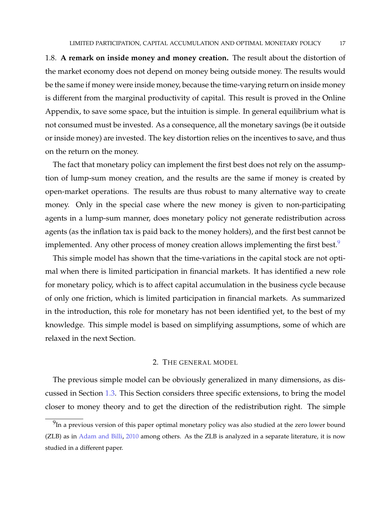1.8. **A remark on inside money and money creation.** The result about the distortion of the market economy does not depend on money being outside money. The results would be the same if money were inside money, because the time-varying return on inside money is different from the marginal productivity of capital. This result is proved in the Online Appendix, to save some space, but the intuition is simple. In general equilibrium what is not consumed must be invested. As a consequence, all the monetary savings (be it outside or inside money) are invested. The key distortion relies on the incentives to save, and thus on the return on the money.

The fact that monetary policy can implement the first best does not rely on the assumption of lump-sum money creation, and the results are the same if money is created by open-market operations. The results are thus robust to many alternative way to create money. Only in the special case where the new money is given to non-participating agents in a lump-sum manner, does monetary policy not generate redistribution across agents (as the inflation tax is paid back to the money holders), and the first best cannot be implemented. Any other process of money creation allows implementing the first best.<sup>9</sup>

This simple model has shown that the time-variations in the capital stock are not optimal when there is limited participation in financial markets. It has identified a new role for monetary policy, which is to affect capital accumulation in the business cycle because of only one friction, which is limited participation in financial markets. As summarized in the introduction, this role for monetary has not been identified yet, to the best of my knowledge. This simple model is based on simplifying assumptions, some of which are relaxed in the next Section.

#### 2. THE GENERAL MODEL

The previous simple model can be obviously generalized in many dimensions, as discussed in Section 1.3. This Section considers three specific extensions, to bring the model closer to money theory and to get the direction of the redistribution right. The simple

 $^{9}$ In a previous version of this paper optimal monetary policy was also studied at the zero lower bound (ZLB) as in Adam and Billi, 2010 among others. As the ZLB is analyzed in a separate literature, it is now studied in a different paper.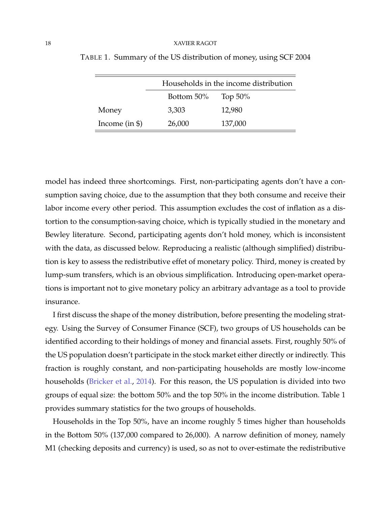|                 | Households in the income distribution |            |  |  |
|-----------------|---------------------------------------|------------|--|--|
|                 | Bottom 50%                            | Top $50\%$ |  |  |
| Money           | 3,303                                 | 12,980     |  |  |
| Income $(in $)$ | 26,000                                | 137,000    |  |  |

TABLE 1. Summary of the US distribution of money, using SCF 2004

model has indeed three shortcomings. First, non-participating agents don't have a consumption saving choice, due to the assumption that they both consume and receive their labor income every other period. This assumption excludes the cost of inflation as a distortion to the consumption-saving choice, which is typically studied in the monetary and Bewley literature. Second, participating agents don't hold money, which is inconsistent with the data, as discussed below. Reproducing a realistic (although simplified) distribution is key to assess the redistributive effet of monetary policy. Third, money is created by lump-sum transfers, which is an obvious simplification. Introducing open-market operations is important not to give monetary policy an arbitrary advantage as a tool to provide insurance.

I first discuss the shape of the money distribution, before presenting the modeling strategy. Using the Survey of Consumer Finance (SCF), two groups of US households can be identified according to their holdings of money and financial assets. First, roughly 50% of the US population doesn't participate in the stock market either directly or indirectly. This fraction is roughly constant, and non-participating households are mostly low-income households (Bricker et al., 2014). For this reason, the US population is divided into two groups of equal size: the bottom 50% and the top 50% in the income distribution. Table 1 provides summary statistics for the two groups of households.

Households in the Top 50%, have an income roughly 5 times higher than households in the Bottom 50% (137,000 compared to 26,000). A narrow definition of money, namely M1 (checking deposits and currency) is used, so as not to over-estimate the redistributive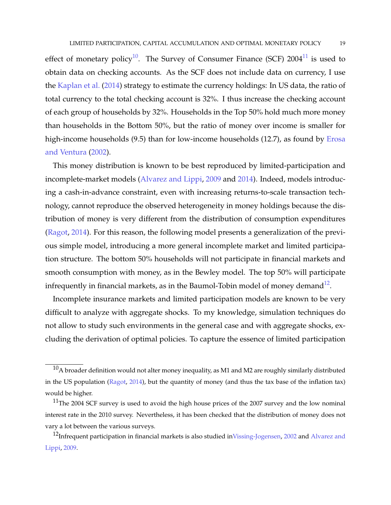effect of monetary policy<sup>10</sup>. The Survey of Consumer Finance (SCF) 2004<sup>11</sup> is used to obtain data on checking accounts. As the SCF does not include data on currency, I use the Kaplan et al. (2014) strategy to estimate the currency holdings: In US data, the ratio of total currency to the total checking account is 32%. I thus increase the checking account of each group of households by 32%. Households in the Top 50% hold much more money than households in the Bottom 50%, but the ratio of money over income is smaller for high-income households (9.5) than for low-income households (12.7), as found by Erosa and Ventura (2002).

This money distribution is known to be best reproduced by limited-participation and incomplete-market models (Alvarez and Lippi, 2009 and 2014). Indeed, models introducing a cash-in-advance constraint, even with increasing returns-to-scale transaction technology, cannot reproduce the observed heterogeneity in money holdings because the distribution of money is very different from the distribution of consumption expenditures (Ragot, 2014). For this reason, the following model presents a generalization of the previous simple model, introducing a more general incomplete market and limited participation structure. The bottom 50% households will not participate in financial markets and smooth consumption with money, as in the Bewley model. The top 50% will participate infrequently in financial markets, as in the Baumol-Tobin model of money demand $^{12}$ .

Incomplete insurance markets and limited participation models are known to be very difficult to analyze with aggregate shocks. To my knowledge, simulation techniques do not allow to study such environments in the general case and with aggregate shocks, excluding the derivation of optimal policies. To capture the essence of limited participation

 $^{10}$ A broader definition would not alter money inequality, as M1 and M2 are roughly similarly distributed in the US population (Ragot, 2014), but the quantity of money (and thus the tax base of the inflation tax) would be higher.

 $11$ The 2004 SCF survey is used to avoid the high house prices of the 2007 survey and the low nominal interest rate in the 2010 survey. Nevertheless, it has been checked that the distribution of money does not vary a lot between the various surveys.

 $^{12}$ Infrequent participation in financial markets is also studied inVissing-Jogensen, 2002 and Alvarez and Lippi, 2009.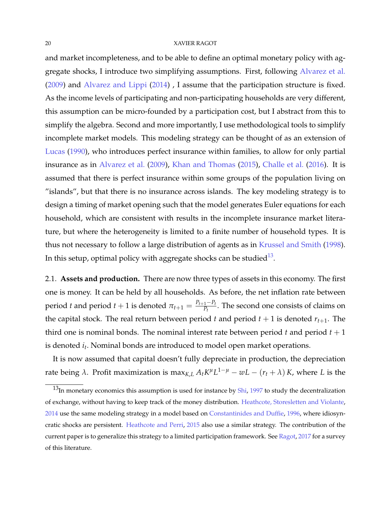and market incompleteness, and to be able to define an optimal monetary policy with aggregate shocks, I introduce two simplifying assumptions. First, following Alvarez et al. (2009) and Alvarez and Lippi (2014) , I assume that the participation structure is fixed. As the income levels of participating and non-participating households are very different, this assumption can be micro-founded by a participation cost, but I abstract from this to simplify the algebra. Second and more importantly, I use methodological tools to simplify incomplete market models. This modeling strategy can be thought of as an extension of Lucas (1990), who introduces perfect insurance within families, to allow for only partial insurance as in Alvarez et al. (2009), Khan and Thomas (2015), Challe et al. (2016). It is assumed that there is perfect insurance within some groups of the population living on "islands", but that there is no insurance across islands. The key modeling strategy is to design a timing of market opening such that the model generates Euler equations for each household, which are consistent with results in the incomplete insurance market literature, but where the heterogeneity is limited to a finite number of household types. It is thus not necessary to follow a large distribution of agents as in Krussel and Smith (1998). In this setup, optimal policy with aggregate shocks can be studied $^{13}$ .

2.1. **Assets and production.** There are now three types of assets in this economy. The first one is money. It can be held by all households. As before, the net inflation rate between period *t* and period  $t + 1$  is denoted  $\pi_{t+1} = \frac{P_{t+1} - P_t}{P_t}$  $\frac{1-t_{t}}{P_{t}}$ . The second one consists of claims on the capital stock. The real return between period *t* and period  $t + 1$  is denoted  $r_{t+1}$ . The third one is nominal bonds. The nominal interest rate between period  $t$  and period  $t + 1$ is denoted *i<sup>t</sup>* . Nominal bonds are introduced to model open market operations.

It is now assumed that capital doesn't fully depreciate in production, the depreciation rate being  $\lambda$ . Profit maximization is max<sub>*K*</sub>,*L*  $A_t K^{\mu} L^{1-\mu} - wL - (r_t + \lambda) K$ , where *L* is the

 $13$ In monetary economics this assumption is used for instance by Shi, 1997 to study the decentralization of exchange, without having to keep track of the money distribution. Heathcote, Storesletten and Violante, 2014 use the same modeling strategy in a model based on Constantinides and Duffie, 1996, where idiosyncratic shocks are persistent. Heathcote and Perri, 2015 also use a similar strategy. The contribution of the current paper is to generalize this strategy to a limited participation framework. See Ragot, 2017 for a survey of this literature.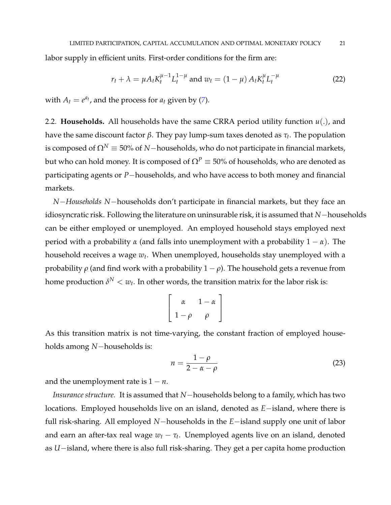labor supply in efficient units. First-order conditions for the firm are:

$$
r_t + \lambda = \mu A_t K_t^{\mu - 1} L_t^{1 - \mu} \text{ and } w_t = (1 - \mu) A_t K_t^{\mu} L_t^{-\mu}
$$
 (22)

with  $A_t = e^{a_t}$ , and the process for  $a_t$  given by (7).

2.2. **Households.** All households have the same CRRA period utility function *u*(.), and have the same discount factor *β*. They pay lump-sum taxes denoted as *τ<sup>t</sup>* . The population is composed of  $\Omega^N \equiv 50\%$  of *N*−households, who do not participate in financial markets, but who can hold money. It is composed of  $\Omega^P \equiv 50\%$  of households, who are denoted as participating agents or *P*−households, and who have access to both money and financial markets.

*N*−*Households N*−households don't participate in financial markets, but they face an idiosyncratic risk. Following the literature on uninsurable risk, it is assumed that *N*−households can be either employed or unemployed. An employed household stays employed next period with a probability *α* (and falls into unemployment with a probability 1 − *α*). The household receives a wage *w<sup>t</sup>* . When unemployed, households stay unemployed with a probability  $ρ$  (and find work with a probability  $1 - ρ$ ). The household gets a revenue from home production  $\delta^N < w_t.$  In other words, the transition matrix for the labor risk is:

$$
\left[\begin{array}{cc} \alpha & 1-\alpha \\ 1-\rho & \rho \end{array}\right]
$$

As this transition matrix is not time-varying, the constant fraction of employed households among *N*−households is:

$$
n = \frac{1 - \rho}{2 - \alpha - \rho} \tag{23}
$$

and the unemployment rate is  $1 - n$ .

*Insurance structure.* It is assumed that *N*−households belong to a family, which has two locations. Employed households live on an island, denoted as *E*−island, where there is full risk-sharing. All employed *N*−households in the *E*−island supply one unit of labor and earn an after-tax real wage *w<sup>t</sup>* − *τ<sup>t</sup>* . Unemployed agents live on an island, denoted as *U*−island, where there is also full risk-sharing. They get a per capita home production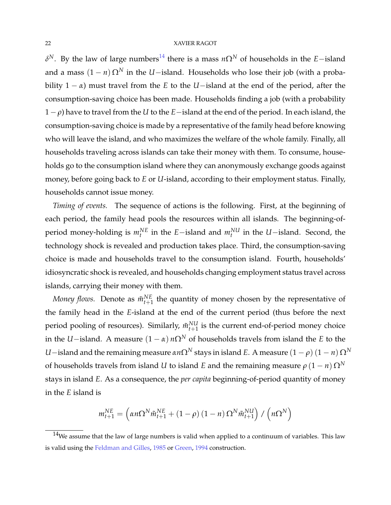*δ*<sup>N</sup>. By the law of large numbers<sup>14</sup> there is a mass *n*Ω<sup>N</sup> of households in the *E*−island and a mass  $(1 - n) \Omega^N$  in the *U*−island. Households who lose their job (with a probability 1 − *α*) must travel from the *E* to the *U*−island at the end of the period, after the consumption-saving choice has been made. Households finding a job (with a probability 1− *ρ*) have to travel from the *U* to the *E*−island at the end of the period. In each island, the consumption-saving choice is made by a representative of the family head before knowing who will leave the island, and who maximizes the welfare of the whole family. Finally, all households traveling across islands can take their money with them. To consume, households go to the consumption island where they can anonymously exchange goods against money, before going back to *E* or *U*-island, according to their employment status. Finally, households cannot issue money.

*Timing of events.* The sequence of actions is the following. First, at the beginning of each period, the family head pools the resources within all islands. The beginning-ofperiod money-holding is  $m_t^{NE}$  in the *E*−island and  $m_t^{NU}$  in the *U*−island. Second, the technology shock is revealed and production takes place. Third, the consumption-saving choice is made and households travel to the consumption island. Fourth, households' idiosyncratic shock is revealed, and households changing employment status travel across islands, carrying their money with them.

*Money flows.* Denote as  $\tilde{m}_{t+1}^{NE}$  the quantity of money chosen by the representative of the family head in the *E*-island at the end of the current period (thus before the next period pooling of resources). Similarly,  $\tilde{m}_{t+1}^{NU}$  is the current end-of-period money choice in the *U*−island. A measure  $(1 - \alpha) n\Omega^N$  of households travels from island the *E* to the *U*−island and the remaining measure *αn*Ω<sup>*N*</sup> stays in island *E*. A measure  $(1 - ρ) (1 - n) \Omega^N$ of households travels from island *U* to island *E* and the remaining measure  $\rho (1 - n) \Omega^N$ stays in island *E*. As a consequence, the *per capita* beginning-of-period quantity of money in the *E* island is

$$
m_{t+1}^{NE} = \left(\alpha n \Omega^N \tilde{m}_{t+1}^{NE} + (1 - \rho) (1 - n) \Omega^N \tilde{m}_{t+1}^{NU}\right) / \left(n \Omega^N\right)
$$

 $14$ We assume that the law of large numbers is valid when applied to a continuum of variables. This law is valid using the Feldman and Gilles, 1985 or Green, 1994 construction.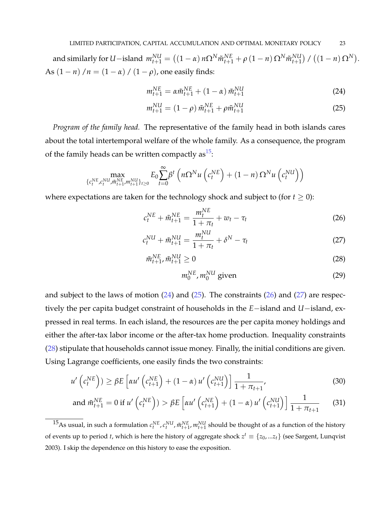and similarly for U-island  $m_{t+1}^{NU} = ((1-\alpha) n\Omega^N \tilde{m}_{t+1}^{NE} + \rho (1-n) \Omega^N \tilde{m}_{t+1}^{NU}) / ((1-n) \Omega^N).$ As  $(1 - n) / n = (1 - \alpha) / (1 - \rho)$ , one easily finds:

$$
m_{t+1}^{NE} = \alpha \tilde{m}_{t+1}^{NE} + (1 - \alpha) \tilde{m}_{t+1}^{NU}
$$
 (24)

$$
m_{t+1}^{NU} = (1 - \rho) \tilde{m}_{t+1}^{NE} + \rho \tilde{m}_{t+1}^{NU}
$$
 (25)

*Program of the family head.* The representative of the family head in both islands cares about the total intertemporal welfare of the whole family. As a consequence, the program of the family heads can be written compactly as  $15$ :

$$
\max_{\{c_t^{NE}, c_t^{NU}, \tilde{m}_{t+1}^{NE}, m_{t+1}^{NU}\}_{t\geq 0}} E_0 \sum_{t=0}^{\infty} \beta^t \left( n\Omega^N u\left( c_t^{NE} \right) + (1-n) \Omega^N u\left( c_t^{NU} \right) \right)
$$

where expectations are taken for the technology shock and subject to (for  $t \geq 0$ ):

$$
c_t^{NE} + \tilde{m}_{t+1}^{NE} = \frac{m_t^{NE}}{1 + \pi_t} + w_t - \tau_t
$$
 (26)

$$
c_t^{NU} + \tilde{m}_{t+1}^{NU} = \frac{m_t^{NU}}{1 + \pi_t} + \delta^N - \tau_t
$$
 (27)

$$
\tilde{m}_{t+1}^{NE}, \tilde{m}_{t+1}^{NU} \ge 0 \tag{28}
$$

$$
m_0^{NE}, m_0^{NU} \text{ given} \tag{29}
$$

and subject to the laws of motion  $(24)$  and  $(25)$ . The constraints  $(26)$  and  $(27)$  are respectively the per capita budget constraint of households in the *E*−island and *U*−island, expressed in real terms. In each island, the resources are the per capita money holdings and either the after-tax labor income or the after-tax home production. Inequality constraints (28) stipulate that households cannot issue money. Finally, the initial conditions are given. Using Lagrange coefficients, one easily finds the two constraints:

$$
u'\left(c_t^{NE}\right)) \ge \beta E\left[\alpha u'\left(c_{t+1}^{NE}\right) + (1-\alpha) u'\left(c_{t+1}^{NU}\right)\right] \frac{1}{1+\pi_{t+1}},\tag{30}
$$

and 
$$
\tilde{m}_{t+1}^{NE} = 0
$$
 if  $u' \left( c_t^{NE} \right) > \beta E \left[ \alpha u' \left( c_{t+1}^{NE} \right) + (1 - \alpha) u' \left( c_{t+1}^{NU} \right) \right] \frac{1}{1 + \pi_{t+1}}$  (31)

<sup>&</sup>lt;sup>15</sup>As usual, in such a formulation  $c_t^{NE}$ ,  $c_t^{NU}$ ,  $\tilde{m}_{t+1}^{NE}$ ,  $m_{t+1}^{NU}$  should be thought of as a function of the history of events up to period *t*, which is here the history of aggregate shock  $z^t \equiv \{z_0, ... z_t\}$  (see Sargent, Lunqvist 2003). I skip the dependence on this history to ease the exposition.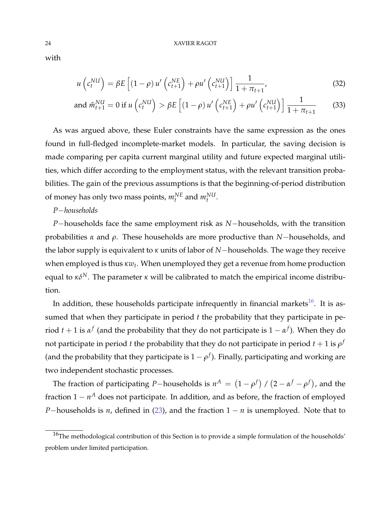with

$$
u\left(c_t^{NU}\right) = \beta E\left[\left(1-\rho\right)u'\left(c_{t+1}^{NE}\right) + \rho u'\left(c_{t+1}^{NU}\right)\right]\frac{1}{1+\pi_{t+1}},\tag{32}
$$

and 
$$
\tilde{m}_{t+1}^{NU} = 0
$$
 if  $u\left(c_t^{NU}\right) > \beta E\left[(1-\rho)u'\left(c_{t+1}^{NE}\right) + \rho u'\left(c_{t+1}^{NU}\right)\right]\frac{1}{1+\pi_{t+1}}$  (33)

As was argued above, these Euler constraints have the same expression as the ones found in full-fledged incomplete-market models. In particular, the saving decision is made comparing per capita current marginal utility and future expected marginal utilities, which differ according to the employment status, with the relevant transition probabilities. The gain of the previous assumptions is that the beginning-of-period distribution of money has only two mass points,  $m_t^{NE}$  and  $m_t^{NU}$ .

## *P*−*households*

*P*−households face the same employment risk as *N*−households, with the transition probabilities *α* and *ρ*. These households are more productive than *N*−households, and the labor supply is equivalent to *κ* units of labor of *N*−households. The wage they receive when employed is thus κ $w_t$ . When unemployed they get a revenue from home production equal to  $\kappa \delta^{N}$ . The parameter  $\kappa$  will be calibrated to match the empirical income distribution.

In addition, these households participate infrequently in financial markets<sup>16</sup>. It is assumed that when they participate in period *t* the probability that they participate in period  $t + 1$  is  $\alpha^f$  (and the probability that they do not participate is  $1 - \alpha^f$ ). When they do not participate in period  $t$  the probability that they do not participate in period  $t+1$  is  $\rho^f$ (and the probability that they participate is  $1 - \rho^f$ ). Finally, participating and working are two independent stochastic processes.

The fraction of participating *P*−households is  $n^A = (1 - \rho^f) / (2 - \alpha^f - \rho^f)$ , and the fraction 1 − *n*<sup>A</sup> does not participate. In addition, and as before, the fraction of employed *P*−households is *n*, defined in (23), and the fraction 1 − *n* is unemployed. Note that to

<sup>&</sup>lt;sup>16</sup>The methodological contribution of this Section is to provide a simple formulation of the households' problem under limited participation.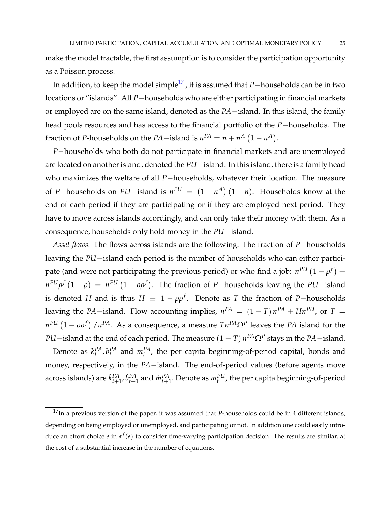make the model tractable, the first assumption is to consider the participation opportunity as a Poisson process.

In addition, to keep the model simple<sup>17</sup>, it is assumed that *P*−households can be in two locations or "islands". All *P*−households who are either participating in financial markets or employed are on the same island, denoted as the *PA*−island. In this island, the family head pools resources and has access to the financial portfolio of the *P*−households. The fraction of *P*-households on the *PA*−island is  $n^{PA} = n + n^A (1 - n^A)$ .

*P*−households who both do not participate in financial markets and are unemployed are located on another island, denoted the *PU*−island. In this island, there is a family head who maximizes the welfare of all *P*−households, whatever their location. The measure of *P*−households on *PU*−island is  $n^{PU} = (1 - n^A) (1 - n)$ . Households know at the end of each period if they are participating or if they are employed next period. They have to move across islands accordingly, and can only take their money with them. As a consequence, households only hold money in the *PU*−island.

*Asset flows.* The flows across islands are the following. The fraction of *P*−households leaving the *PU*−island each period is the number of households who can either participate (and were not participating the previous period) or who find a job:  $n^{PU}\left(1-\rho^f\right)+$  $n^{PU} \rho^f (1 - \rho) = n^{PU} (1 - \rho \rho^f)$ . The fraction of *P*−households leaving the *PU*−island is denoted *H* and is thus  $H \equiv 1 - \rho \rho^f$ . Denote as *T* the fraction of *P*−households leaving the *PA*−island. Flow accounting implies,  $n^{PA} = (1 - T) n^{PA} + Hn^{PU}$ , or  $T =$ *n<sup>PU</sup>*  $(1 - \rho \rho^f)$  /*n<sup>PA</sup>*. As a consequence, a measure  $Tn^{PA} \Omega^P$  leaves the *PA* island for the *PU*−island at the end of each period. The measure  $(1 - T) n^{PA} Ω^P$  stays in the *PA*−island.

Denote as  $k_t^{PA}$ ,  $b_t^{PA}$  and  $m_t^{PA}$ , the per capita beginning-of-period capital, bonds and money, respectively, in the *PA*−island. The end-of-period values (before agents move across islands) are  $\tilde{k}_{t+1}^{PA}$ ,  $\tilde{b}_{t+1}^{PA}$  and  $\tilde{m}_{t+1}^{PA}$ . Denote as  $m_t^{PU}$ , the per capita beginning-of-period

<sup>&</sup>lt;sup>17</sup>In a previous version of the paper, it was assumed that *P*-households could be in 4 different islands, depending on being employed or unemployed, and participating or not. In addition one could easily introduce an effort choice *e* in *α f* (*e*) to consider time-varying participation decision. The results are similar, at the cost of a substantial increase in the number of equations.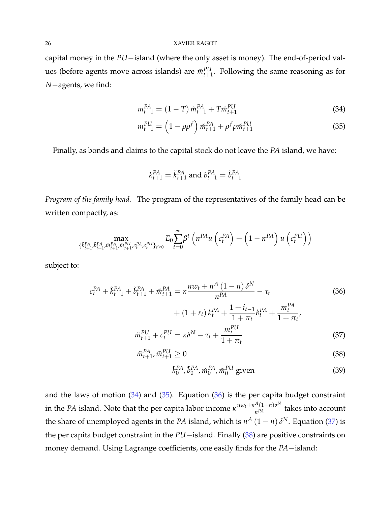capital money in the *PU*−island (where the only asset is money). The end-of-period values (before agents move across islands) are  $\tilde{m}_{t+1}^{PU}$ . Following the same reasoning as for *N*−agents, we find:

$$
m_{t+1}^{PA} = (1 - T) \tilde{m}_{t+1}^{PA} + T \tilde{m}_{t+1}^{PU}
$$
 (34)

$$
m_{t+1}^{PU} = \left(1 - \rho \rho^f\right) \tilde{m}_{t+1}^{PA} + \rho^f \rho \tilde{m}_{t+1}^{PU} \tag{35}
$$

Finally, as bonds and claims to the capital stock do not leave the *PA* island, we have:

$$
k_{t+1}^{PA} = \tilde{k}_{t+1}^{PA}
$$
 and  $b_{t+1}^{PA} = \tilde{b}_{t+1}^{PA}$ 

*Program of the family head.* The program of the representatives of the family head can be written compactly, as:

$$
\max_{\{\tilde{k}_{t+1}^{PA}, \tilde{b}_{t+1}^{PA}, \tilde{m}_{t+1}^{PA}, \tilde{m}_{t+1}^{PU}, c_t^{PA}, c_t^{PU}\}_{t\geq 0}} E_0 \sum_{t=0}^{\infty} \beta^t \left( n^{PA} u\left( c_t^{PA} \right) + \left( 1 - n^{PA} \right) u\left( c_t^{PU} \right) \right)
$$

subject to:

$$
c_t^{PA} + \tilde{k}_{t+1}^{PA} + \tilde{n}_{t+1}^{PA} = \kappa \frac{n w_t + n^A (1 - n) \delta^N}{n^{PA}} - \tau_t
$$
\n
$$
+ (1 + r_t) k_t^{PA} + \frac{1 + i_{t-1}}{1 + \pi_t} b_t^{PA} + \frac{m_t^{PA}}{1 + \pi_t},
$$
\n
$$
\tilde{m}_{t+1}^{PU} + c_t^{PU} = \kappa \delta^N - \tau_t + \frac{m_t^{PU}}{1 + \pi_t}
$$
\n(37)

$$
\tilde{m}_{t+1}^{PA}, \tilde{m}_{t+1}^{PU} \ge 0 \tag{38}
$$

$$
\tilde{k}_0^{PA}, \tilde{b}_0^{PA}, \tilde{m}_0^{PA}, \tilde{m}_0^{PU} \text{ given}
$$
\n(39)

and the laws of motion  $(34)$  and  $(35)$ . Equation  $(36)$  is the per capita budget constraint in the *PA* island. Note that the per capita labor income  $\kappa \frac{n w_t + n^A(1-n) \delta^N}{n^{PA}}$  $\frac{(1-n)v}{n^{PA}}$  takes into account the share of unemployed agents in the *PA* island, which is  $n^A (1 - n) \delta^N$ . Equation (37) is the per capita budget constraint in the *PU*−island. Finally (38) are positive constraints on money demand. Using Lagrange coefficients, one easily finds for the *PA*−island: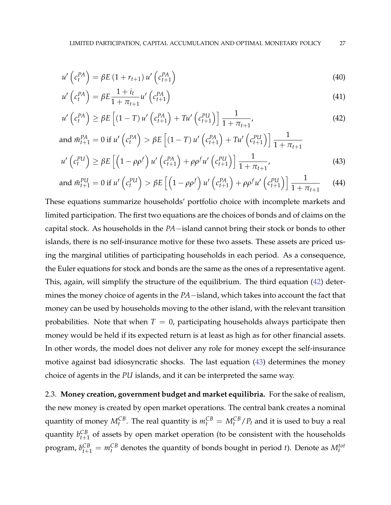$$
u'\left(c_t^{PA}\right) = \beta E\left(1 + r_{t+1}\right)u'\left(c_{t+1}^{PA}\right)
$$
\n(40)

$$
u'\left(c_t^{PA}\right) = \beta E \frac{1+i_t}{1+\pi_{t+1}} u'\left(c_{t+1}^{PA}\right)
$$
\n
$$
(41)
$$

$$
u'\left(c_t^{PA}\right) \ge \beta E\left[\left(1-T\right)u'\left(c_{t+1}^{PA}\right) + Tu'\left(c_{t+1}^{PU}\right)\right]\frac{1}{1+\pi_{t+1}},\tag{42}
$$

and 
$$
\tilde{m}_{t+1}^{PA} = 0
$$
 if  $u' \left( c_t^{PA} \right) > \beta E \left[ (1 - T) u' \left( c_{t+1}^{PA} \right) + T u' \left( c_{t+1}^{PU} \right) \right] \frac{1}{1 + \pi_{t+1}}$   
\n $u' \left( c_t^{PU} \right) \ge \beta E \left[ \left( 1 - \rho \rho^f \right) u' \left( c_{t+1}^{PA} \right) + \rho \rho^f u' \left( c_{t+1}^{PU} \right) \right] \frac{1}{1 + \pi_{t+1}},$ \n(43)

and 
$$
\tilde{m}_{t+1}^{PU} = 0
$$
 if  $u' \left( c_t^{PU} \right) > \beta E \left[ \left( 1 - \rho \rho^f \right) u' \left( c_{t+1}^{PA} \right) + \rho \rho^f u' \left( c_{t+1}^{PU} \right) \right] \frac{1}{1 + \pi_{t+1}}$  (44)

These equations summarize households' portfolio choice with incomplete markets and limited participation. The first two equations are the choices of bonds and of claims on the capital stock. As households in the *PA*−island cannot bring their stock or bonds to other islands, there is no self-insurance motive for these two assets. These assets are priced using the marginal utilities of participating households in each period. As a consequence, the Euler equations for stock and bonds are the same as the ones of a representative agent. This, again, will simplify the structure of the equilibrium. The third equation (42) determines the money choice of agents in the *PA*−island, which takes into account the fact that money can be used by households moving to the other island, with the relevant transition probabilities. Note that when  $T = 0$ , participating households always participate then money would be held if its expected return is at least as high as for other financial assets. In other words, the model does not deliver any role for money except the self-insurance motive against bad idiosyncratic shocks. The last equation (43) determines the money choice of agents in the *PU* islands, and it can be interpreted the same way.

2.3. **Money creation, government budget and market equilibria.** For the sake of realism, the new money is created by open market operations. The central bank creates a nominal quantity of money  $M_t^{CB}$ . The real quantity is  $m_t^{CB} = M_t^{CB}/P_t$  and it is used to buy a real quantity  $b_{t+1}^{CB}$  of assets by open market operation (to be consistent with the households program,  $b_{t+1}^{CB} = m_t^{CB}$  denotes the quantity of bonds bought in period *t*). Denote as  $M_t^{tot}$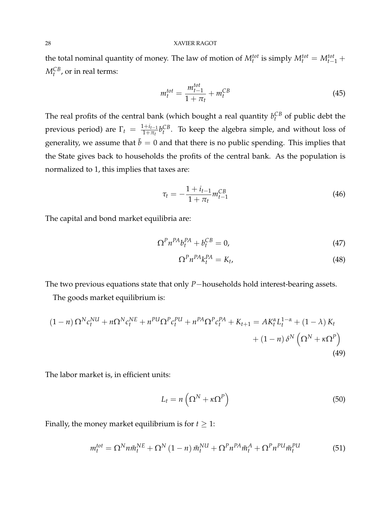the total nominal quantity of money. The law of motion of  $M_t^{tot}$  is simply  $M_t^{tot} = M_{t-1}^{tot}$  +  $M_t^{CB}$ , or in real terms:

$$
m_t^{tot} = \frac{m_{t-1}^{tot}}{1 + \pi_t} + m_t^{CB}
$$
 (45)

The real profits of the central bank (which bought a real quantity  $b_t^{CB}$  of public debt the previous period) are  $\Gamma_t = \frac{1+i_{t-1}}{1+\pi_t}$  $\frac{1+t}{1+\pi}b_t^{CB}$ . To keep the algebra simple, and without loss of generality, we assume that  $\bar{b} = 0$  and that there is no public spending. This implies that the State gives back to households the profits of the central bank. As the population is normalized to 1, this implies that taxes are:

$$
\tau_t = -\frac{1 + i_{t-1}}{1 + \pi_t} m_{t-1}^{CB} \tag{46}
$$

The capital and bond market equilibria are:

$$
\Omega^P n^{PA} b_t^{PA} + b_t^{CB} = 0,\t\t(47)
$$

$$
\Omega^P n^{PA} k_t^{PA} = K_t,\tag{48}
$$

The two previous equations state that only *P*−households hold interest-bearing assets.

The goods market equilibrium is:

$$
(1 - n) \Omega^{N} c_{t}^{NU} + n \Omega^{N} c_{t}^{NE} + n^{PU} \Omega^{P} c_{t}^{PU} + n^{PA} \Omega^{P} c_{t}^{PA} + K_{t+1} = A K_{t}^{\alpha} L_{t}^{1 - \alpha} + (1 - \lambda) K_{t} + (1 - n) \delta^{N} \left( \Omega^{N} + \kappa \Omega^{P} \right)
$$
\n(49)

The labor market is, in efficient units:

$$
L_t = n\left(\Omega^N + \kappa \Omega^P\right) \tag{50}
$$

Finally, the money market equilibrium is for  $t \geq 1$ :

$$
m_t^{tot} = \Omega^N n \tilde{m}_t^{NE} + \Omega^N \left(1 - n\right) \tilde{m}_t^{NU} + \Omega^P n^{PA} \tilde{m}_t^A + \Omega^P n^{PU} \tilde{m}_t^{PU} \tag{51}
$$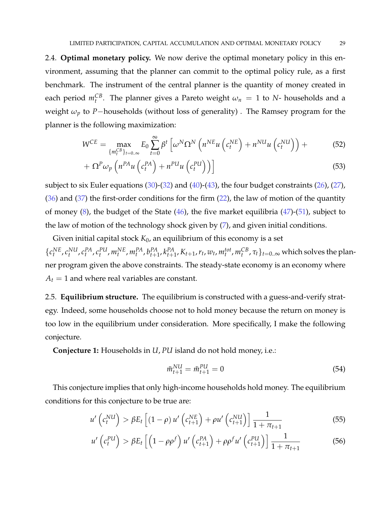2.4. **Optimal monetary policy.** We now derive the optimal monetary policy in this environment, assuming that the planner can commit to the optimal policy rule, as a first benchmark. The instrument of the central planner is the quantity of money created in each period  $m_t^{CB}$ . The planner gives a Pareto weight  $\omega_n = 1$  to *N*- households and a weight *ω<sup>p</sup>* to *P*−households (without loss of generality) . The Ramsey program for the planner is the following maximization:

$$
W^{CE} = \max_{\{m_t^{CB}\}_{t=0..\infty}} E_0 \sum_{t=0}^{\infty} \beta^t \left[ \omega^N \Omega^N \left( n^{NE} u \left( c_t^{NE} \right) + n^{NU} u \left( c_t^{NU} \right) \right) + \right]
$$
(52)

$$
+\ \Omega^P \omega_p \left( n^{PA} u \left( c_t^{PA} \right) + n^{PU} u \left( c_t^{PU} \right) \right) \Big]
$$
 (53)

subject to six Euler equations  $(30)$ - $(32)$  and  $(40)$ - $(43)$ , the four budget constraints  $(26)$ ,  $(27)$ ,  $(36)$  and  $(37)$  the first-order conditions for the firm  $(22)$ , the law of motion of the quantity of money  $(8)$ , the budget of the State  $(46)$ , the five market equilibria  $(47)$ - $(51)$ , subject to the law of motion of the technology shock given by (7), and given initial conditions.

Given initial capital stock  $K_0$ , an equilibrium of this economy is a set  $\{c_t^{NE}, c_t^{NU}, c_t^{PA}, c_t^{PU}, m_t^{NE}, m_t^{PA}, b_{t+1}^{PA}, k_{t+1}^{PA}, K_{t+1}, r_t, w_t, m_t^{tot}, m_t^{CB}, \tau_t\}_{t=0..\infty}$  which solves the planner program given the above constraints. The steady-state economy is an economy where  $A_t = 1$  and where real variables are constant.

2.5. **Equilibrium structure.** The equilibrium is constructed with a guess-and-verify strategy. Indeed, some households choose not to hold money because the return on money is too low in the equilibrium under consideration. More specifically, I make the following conjecture.

**Conjecture 1:** Households in *U*, *PU* island do not hold money, i.e.:

$$
\tilde{m}_{t+1}^{NU} = \tilde{m}_{t+1}^{PU} = 0 \tag{54}
$$

This conjecture implies that only high-income households hold money. The equilibrium conditions for this conjecture to be true are:

$$
u'\left(c_t^{NU}\right) > \beta E_t\left[\left(1-\rho\right)u'\left(c_{t+1}^{NE}\right) + \rho u'\left(c_{t+1}^{NU}\right)\right]\frac{1}{1+\pi_{t+1}}\tag{55}
$$

$$
u'\left(c_t^{PU}\right) > \beta E_t\left[\left(1-\rho\rho^f\right)u'\left(c_{t+1}^{PA}\right) + \rho\rho^f u'\left(c_{t+1}^{PU}\right)\right]\frac{1}{1+\pi_{t+1}}
$$
(56)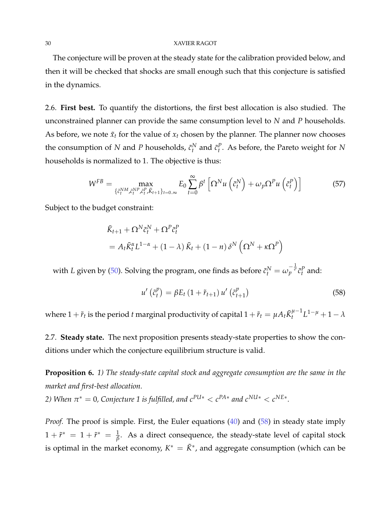The conjecture will be proven at the steady state for the calibration provided below, and then it will be checked that shocks are small enough such that this conjecture is satisfied in the dynamics.

2.6. **First best.** To quantify the distortions, the first best allocation is also studied. The unconstrained planner can provide the same consumption level to *N* and *P* households. As before, we note  $\tilde{x}_t$  for the value of  $x_t$  chosen by the planner. The planner now chooses the consumption of *N* and *P* households,  $\tilde{c}_t^N$  and  $\tilde{c}_t^P$ . As before, the Pareto weight for *N* households is normalized to 1. The objective is thus:

$$
W^{FB} = \max_{\{\tilde{c}_{t}^{NM}, \tilde{c}_{t}^{NP}, \tilde{c}_{t}^{P}, \tilde{K}_{t+1}\}_{t=0..\infty}} E_{0} \sum_{t=0}^{\infty} \beta^{t} \left[ \Omega^{N} u\left(\tilde{c}_{t}^{N}\right) + \omega_{p} \Omega^{P} u\left(\tilde{c}_{t}^{P}\right) \right]
$$
(57)

Subject to the budget constraint:

$$
\tilde{K}_{t+1} + \Omega^N \tilde{c}_t^N + \Omega^P \tilde{c}_t^P
$$
\n
$$
= A_t \tilde{K}_t^{\alpha} L^{1-\alpha} + (1-\lambda) \tilde{K}_t + (1-n) \delta^N \left( \Omega^N + \kappa \Omega^P \right)
$$

with *L* given by (50). Solving the program, one finds as before  $\tilde{c}_t^N = \omega_p^{-\frac{1}{\sigma}} \tilde{c}_t^p$  and:

$$
u'\left(\tilde{c}_t^p\right) = \beta E_t \left(1 + \tilde{r}_{t+1}\right) u'\left(\tilde{c}_{t+1}^p\right) \tag{58}
$$

where  $1+\tilde{r}_t$  is the period  $t$  marginal productivity of capital  $1+\tilde{r}_t=\mu A_t \tilde{K}_t^{\mu-1}$  $t^{u-1}L^{1-\mu} + 1 - \lambda$ 

2.7. **Steady state.** The next proposition presents steady-state properties to show the conditions under which the conjecture equilibrium structure is valid.

**Proposition 6.** *1) The steady-state capital stock and aggregate consumption are the same in the market and first-best allocation.*

*2)* When  $\pi^* = 0$ , Conjecture 1 is fulfilled, and  $c^{PU*} < c^{PA*}$  and  $c^{NU*} < c^{NE*}$ .

*Proof.* The proof is simple. First, the Euler equations (40) and (58) in steady state imply  $1 + \tilde{r}^* = 1 + \tilde{r}^* = \frac{1}{\beta}$ . As a direct consequence, the steady-state level of capital stock is optimal in the market economy,  $K^* = \tilde{K}^*$ , and aggregate consumption (which can be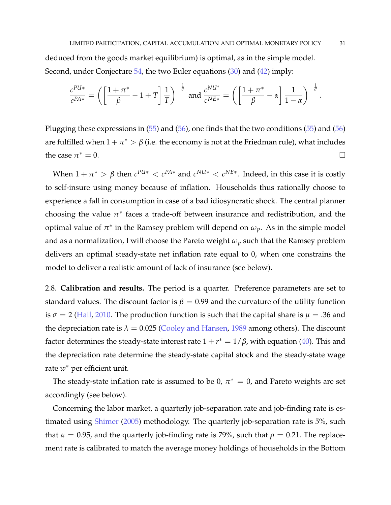deduced from the goods market equilibrium) is optimal, as in the simple model. Second, under Conjecture 54, the two Euler equations (30) and (42) imply:

$$
\frac{c^{PU*}}{c^{PA*}} = \left(\left[\frac{1+\pi^*}{\beta}-1+T\right]\frac{1}{T}\right)^{-\frac{1}{\sigma}} \text{ and } \frac{c^{NU*}}{c^{NE*}} = \left(\left[\frac{1+\pi^*}{\beta}-\alpha\right]\frac{1}{1-\alpha}\right)^{-\frac{1}{\sigma}}.
$$

Plugging these expressions in  $(55)$  and  $(56)$ , one finds that the two conditions  $(55)$  and  $(56)$ are fulfilled when  $1+\pi^* > \beta$  (i.e. the economy is not at the Friedman rule), what includes the case  $\pi^* = 0$ .  $^* = 0.$ 

When  $1 + \pi^* > \beta$  then  $c^{PUs} < c^{PA*}$  and  $c^{NUs} < c^{NE*}$ . Indeed, in this case it is costly to self-insure using money because of inflation. Households thus rationally choose to experience a fall in consumption in case of a bad idiosyncratic shock. The central planner choosing the value  $\pi^*$  faces a trade-off between insurance and redistribution, and the optimal value of  $\pi^*$  in the Ramsey problem will depend on  $\omega_p$ . As in the simple model and as a normalization, I will choose the Pareto weight *ω<sup>p</sup>* such that the Ramsey problem delivers an optimal steady-state net inflation rate equal to 0, when one constrains the model to deliver a realistic amount of lack of insurance (see below).

2.8. **Calibration and results.** The period is a quarter. Preference parameters are set to standard values. The discount factor is  $\beta = 0.99$  and the curvature of the utility function is  $\sigma = 2$  (Hall, 2010. The production function is such that the capital share is  $\mu = .36$  and the depreciation rate is  $\lambda = 0.025$  (Cooley and Hansen, 1989 among others). The discount factor determines the steady-state interest rate  $1 + r^* = 1/\beta$ , with equation (40). This and the depreciation rate determine the steady-state capital stock and the steady-state wage rate *w* <sup>∗</sup> per efficient unit.

The steady-state inflation rate is assumed to be  $0, \pi^* = 0$ , and Pareto weights are set accordingly (see below).

Concerning the labor market, a quarterly job-separation rate and job-finding rate is estimated using Shimer (2005) methodology. The quarterly job-separation rate is 5%, such that  $\alpha = 0.95$ , and the quarterly job-finding rate is 79%, such that  $\rho = 0.21$ . The replacement rate is calibrated to match the average money holdings of households in the Bottom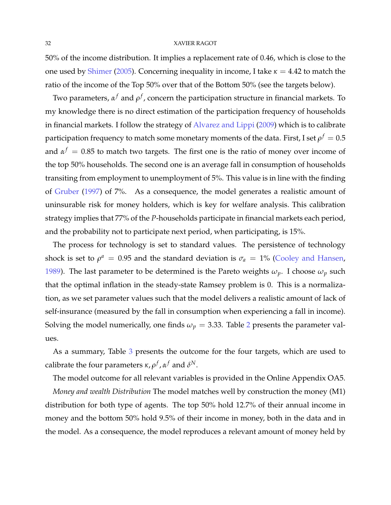50% of the income distribution. It implies a replacement rate of 0.46, which is close to the one used by Shimer (2005). Concerning inequality in income, I take  $\kappa = 4.42$  to match the ratio of the income of the Top 50% over that of the Bottom 50% (see the targets below).

Two parameters, *α <sup>f</sup>* and *ρ f* , concern the participation structure in financial markets. To my knowledge there is no direct estimation of the participation frequency of households in financial markets. I follow the strategy of Alvarez and Lippi (2009) which is to calibrate participation frequency to match some monetary moments of the data. First, I set  $\rho^f=0.5$ and  $\alpha^f = 0.85$  to match two targets. The first one is the ratio of money over income of the top 50% households. The second one is an average fall in consumption of households transiting from employment to unemployment of 5%. This value is in line with the finding of Gruber (1997) of 7%. As a consequence, the model generates a realistic amount of uninsurable risk for money holders, which is key for welfare analysis. This calibration strategy implies that 77% of the *P*-households participate in financial markets each period, and the probability not to participate next period, when participating, is 15%.

The process for technology is set to standard values. The persistence of technology shock is set to  $\rho^a = 0.95$  and the standard deviation is  $\sigma_a = 1\%$  (Cooley and Hansen, 1989). The last parameter to be determined is the Pareto weights  $\omega_p$ . I choose  $\omega_p$  such that the optimal inflation in the steady-state Ramsey problem is 0. This is a normalization, as we set parameter values such that the model delivers a realistic amount of lack of self-insurance (measured by the fall in consumption when experiencing a fall in income). Solving the model numerically, one finds  $\omega_p = 3.33$ . Table 2 presents the parameter values.

As a summary, Table 3 presents the outcome for the four targets, which are used to calibrate the four parameters  $\kappa$ ,  $\rho^f$ ,  $\alpha^f$  and  $\delta^N$ .

The model outcome for all relevant variables is provided in the Online Appendix OA5.

*Money and wealth Distribution* The model matches well by construction the money (M1) distribution for both type of agents. The top 50% hold 12.7% of their annual income in money and the bottom 50% hold 9.5% of their income in money, both in the data and in the model. As a consequence, the model reproduces a relevant amount of money held by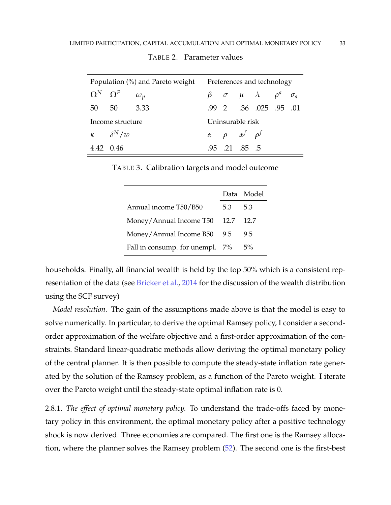| Population (%) and Pareto weight Preferences and technology |                                  |                  |  |  |                                     |                                                      |  |  |
|-------------------------------------------------------------|----------------------------------|------------------|--|--|-------------------------------------|------------------------------------------------------|--|--|
|                                                             | $\Omega^N$ $\Omega^P$ $\omega_p$ |                  |  |  |                                     | $\beta$ $\sigma$ $\mu$ $\lambda$ $\rho^a$ $\sigma_a$ |  |  |
|                                                             | 50 50                            | - 3.33           |  |  |                                     | .99 2 .36 .025 .95 .01                               |  |  |
| Income structure                                            |                                  | Uninsurable risk |  |  |                                     |                                                      |  |  |
|                                                             | $\kappa$ $\delta^N/w$            |                  |  |  | $\alpha$ $\rho$ $\alpha^f$ $\rho^f$ |                                                      |  |  |
|                                                             | 4.42 0.46                        |                  |  |  | .95 .21 .85 .5                      |                                                      |  |  |

TABLE 2. Parameter values

TABLE 3. Calibration targets and model outcome

|                                 |     | Data Model |
|---------------------------------|-----|------------|
| Annual income T50/B50           | 5.3 | 5.3        |
| Money/Annual Income T50 12.7    |     | 12.7       |
| Money/Annual Income B50 9.5     |     | 9.5        |
| Fall in consump. for unempl. 7% |     | 5%         |

households. Finally, all financial wealth is held by the top 50% which is a consistent representation of the data (see Bricker et al., 2014 for the discussion of the wealth distribution using the SCF survey)

*Model resolution.* The gain of the assumptions made above is that the model is easy to solve numerically. In particular, to derive the optimal Ramsey policy, I consider a secondorder approximation of the welfare objective and a first-order approximation of the constraints. Standard linear-quadratic methods allow deriving the optimal monetary policy of the central planner. It is then possible to compute the steady-state inflation rate generated by the solution of the Ramsey problem, as a function of the Pareto weight. I iterate over the Pareto weight until the steady-state optimal inflation rate is 0.

2.8.1. *The effect of optimal monetary policy.* To understand the trade-offs faced by monetary policy in this environment, the optimal monetary policy after a positive technology shock is now derived. Three economies are compared. The first one is the Ramsey allocation, where the planner solves the Ramsey problem (52). The second one is the first-best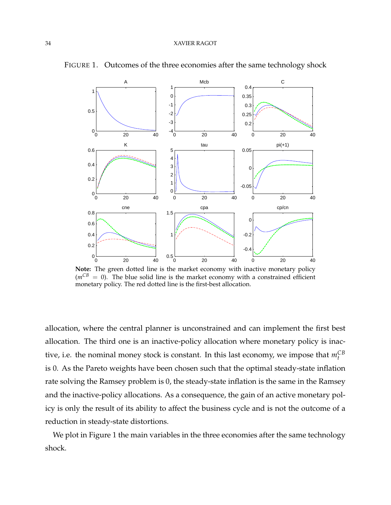

FIGURE 1. Outcomes of the three economies after the same technology shock

**Note:** The green dotted line is the market economy with inactive monetary policy  $(m^{CB} = 0)$ . The blue solid line is the market economy with a constrained efficient monetary policy. The red dotted line is the first-best allocation.

allocation, where the central planner is unconstrained and can implement the first best allocation. The third one is an inactive-policy allocation where monetary policy is inactive, i.e. the nominal money stock is constant. In this last economy, we impose that  $m_t^{CB}$ is 0. As the Pareto weights have been chosen such that the optimal steady-state inflation rate solving the Ramsey problem is 0, the steady-state inflation is the same in the Ramsey and the inactive-policy allocations. As a consequence, the gain of an active monetary policy is only the result of its ability to affect the business cycle and is not the outcome of a reduction in steady-state distortions.

We plot in Figure 1 the main variables in the three economies after the same technology shock.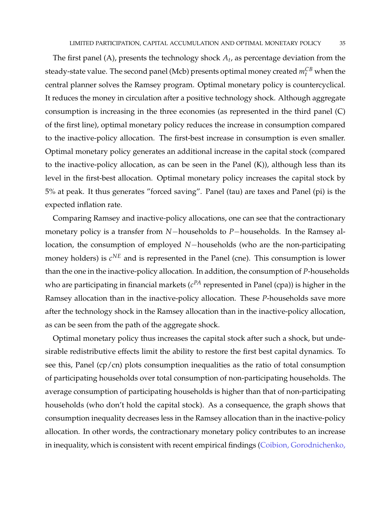The first panel (A), presents the technology shock *A<sup>t</sup>* , as percentage deviation from the steady-state value. The second panel (Mcb) presents optimal money created  $m_t^{CB}$  when the central planner solves the Ramsey program. Optimal monetary policy is countercyclical. It reduces the money in circulation after a positive technology shock. Although aggregate consumption is increasing in the three economies (as represented in the third panel (C) of the first line), optimal monetary policy reduces the increase in consumption compared to the inactive-policy allocation. The first-best increase in consumption is even smaller. Optimal monetary policy generates an additional increase in the capital stock (compared to the inactive-policy allocation, as can be seen in the Panel  $(K)$ ), although less than its level in the first-best allocation. Optimal monetary policy increases the capital stock by 5% at peak. It thus generates "forced saving". Panel (tau) are taxes and Panel (pi) is the expected inflation rate.

Comparing Ramsey and inactive-policy allocations, one can see that the contractionary monetary policy is a transfer from *N*−households to *P*−households. In the Ramsey allocation, the consumption of employed *N*−households (who are the non-participating money holders) is  $c^{NE}$  and is represented in the Panel (cne). This consumption is lower than the one in the inactive-policy allocation. In addition, the consumption of *P*-households who are participating in financial markets ( $c^{PA}$  represented in Panel (cpa)) is higher in the Ramsey allocation than in the inactive-policy allocation. These *P*-households save more after the technology shock in the Ramsey allocation than in the inactive-policy allocation, as can be seen from the path of the aggregate shock.

Optimal monetary policy thus increases the capital stock after such a shock, but undesirable redistributive effects limit the ability to restore the first best capital dynamics. To see this, Panel (cp/cn) plots consumption inequalities as the ratio of total consumption of participating households over total consumption of non-participating households. The average consumption of participating households is higher than that of non-participating households (who don't hold the capital stock). As a consequence, the graph shows that consumption inequality decreases less in the Ramsey allocation than in the inactive-policy allocation. In other words, the contractionary monetary policy contributes to an increase in inequality, which is consistent with recent empirical findings (Coibion, Gorodnichenko,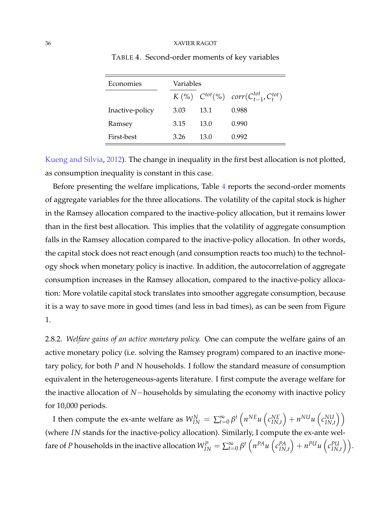| Economies       | Variables |      |                                                                        |
|-----------------|-----------|------|------------------------------------------------------------------------|
|                 |           |      | $K({\cal V}_0)$ $C^{tot}({\cal V}_0)$ $corr(C_{t-1}^{tot}, C_t^{tot})$ |
| Inactive-policy | 3.03      | 13.1 | 0.988                                                                  |
| Ramsey          | 3.15      | 13.0 | 0.990                                                                  |
| First-best      | 3.26      | 13.0 | 0.992                                                                  |

TABLE 4. Second-order moments of key variables

Kueng and Silvia, 2012). The change in inequality in the first best allocation is not plotted, as consumption inequality is constant in this case.

Before presenting the welfare implications, Table 4 reports the second-order moments of aggregate variables for the three allocations. The volatility of the capital stock is higher in the Ramsey allocation compared to the inactive-policy allocation, but it remains lower than in the first best allocation. This implies that the volatility of aggregate consumption falls in the Ramsey allocation compared to the inactive-policy allocation. In other words, the capital stock does not react enough (and consumption reacts too much) to the technology shock when monetary policy is inactive. In addition, the autocorrelation of aggregate consumption increases in the Ramsey allocation, compared to the inactive-policy allocation: More volatile capital stock translates into smoother aggregate consumption, because it is a way to save more in good times (and less in bad times), as can be seen from Figure 1.

2.8.2. *Welfare gains of an active monetary policy.* One can compute the welfare gains of an active monetary policy (i.e. solving the Ramsey program) compared to an inactive monetary policy, for both *P* and *N* households. I follow the standard measure of consumption equivalent in the heterogeneous-agents literature. I first compute the average welfare for the inactive allocation of *N*−households by simulating the economy with inactive policy for 10,000 periods.

I then compute the ex-ante welfare as  $W_{IN}^N = \sum_{t=0}^{\infty} \beta^t \left( n^{NE} u \left( c_{IN}^{NE} \right) \right)$ *IN*,*t*  $\int + n^{NU}u \left(c_{IN}^{NU}\right)$ *IN*,*t*  $\setminus$ (where *IN* stands for the inactive-policy allocation). Similarly, I compute the ex-ante welfare of *P* households in the inactive allocation  $W_{IN}^P = \sum_{t=0}^{\infty} \beta^t \left( n^{PA} u \left( c_{IN}^{PA} \right) \right)$ *IN*,*t*  $\bigg) + n^{PU}u \left( c_{IN}^{PU} \right)$  $_{IN,t}^{PU}\Big)\Big).$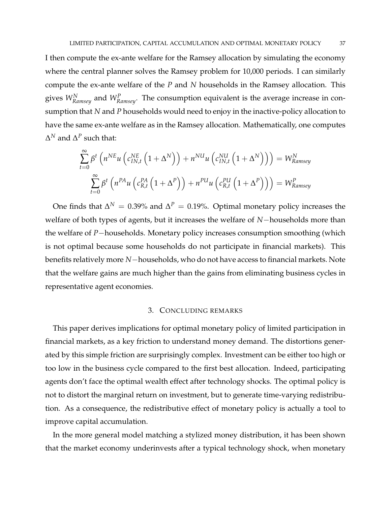I then compute the ex-ante welfare for the Ramsey allocation by simulating the economy where the central planner solves the Ramsey problem for 10,000 periods. I can similarly compute the ex-ante welfare of the *P* and *N* households in the Ramsey allocation. This gives *W<sup>N</sup> Ramsey* and *<sup>W</sup><sup>P</sup> Ramsey*. The consumption equivalent is the average increase in consumption that *N* and *P* households would need to enjoy in the inactive-policy allocation to have the same ex-ante welfare as in the Ramsey allocation. Mathematically, one computes  $\Delta^N$  and  $\Delta^P$  such that:

$$
\sum_{t=0}^{\infty} \beta^t \left( n^{NE} u \left( c_{IN,t}^{NE} \left( 1 + \Delta^N \right) \right) + n^{NU} u \left( c_{IN,t}^{NU} \left( 1 + \Delta^N \right) \right) \right) = W_{Ramsey}^N
$$
\n
$$
\sum_{t=0}^{\infty} \beta^t \left( n^{PA} u \left( c_{R,t}^{PA} \left( 1 + \Delta^P \right) \right) + n^{PU} u \left( c_{R,t}^{PU} \left( 1 + \Delta^P \right) \right) \right) = W_{Ramsey}^P
$$

One finds that  $\Delta^N = 0.39\%$  and  $\Delta^P = 0.19\%$ . Optimal monetary policy increases the welfare of both types of agents, but it increases the welfare of *N*−households more than the welfare of *P*−households. Monetary policy increases consumption smoothing (which is not optimal because some households do not participate in financial markets). This benefits relatively more *N*−households, who do not have access to financial markets. Note that the welfare gains are much higher than the gains from eliminating business cycles in representative agent economies.

#### 3. CONCLUDING REMARKS

This paper derives implications for optimal monetary policy of limited participation in financial markets, as a key friction to understand money demand. The distortions generated by this simple friction are surprisingly complex. Investment can be either too high or too low in the business cycle compared to the first best allocation. Indeed, participating agents don't face the optimal wealth effect after technology shocks. The optimal policy is not to distort the marginal return on investment, but to generate time-varying redistribution. As a consequence, the redistributive effect of monetary policy is actually a tool to improve capital accumulation.

In the more general model matching a stylized money distribution, it has been shown that the market economy underinvests after a typical technology shock, when monetary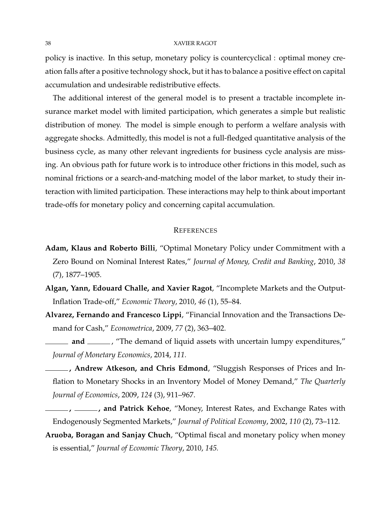policy is inactive. In this setup, monetary policy is countercyclical : optimal money creation falls after a positive technology shock, but it has to balance a positive effect on capital accumulation and undesirable redistributive effects.

The additional interest of the general model is to present a tractable incomplete insurance market model with limited participation, which generates a simple but realistic distribution of money. The model is simple enough to perform a welfare analysis with aggregate shocks. Admittedly, this model is not a full-fledged quantitative analysis of the business cycle, as many other relevant ingredients for business cycle analysis are missing. An obvious path for future work is to introduce other frictions in this model, such as nominal frictions or a search-and-matching model of the labor market, to study their interaction with limited participation. These interactions may help to think about important trade-offs for monetary policy and concerning capital accumulation.

#### **REFERENCES**

- **Adam, Klaus and Roberto Billi**, "Optimal Monetary Policy under Commitment with a Zero Bound on Nominal Interest Rates," *Journal of Money, Credit and Banking*, 2010, *38* (7), 1877–1905.
- **Algan, Yann, Edouard Challe, and Xavier Ragot**, "Incomplete Markets and the Output-Inflation Trade-off," *Economic Theory*, 2010, *46* (1), 55–84.
- **Alvarez, Fernando and Francesco Lippi**, "Financial Innovation and the Transactions Demand for Cash," *Econometrica*, 2009, *77* (2), 363–402.
- **and** \_\_\_\_\_\_, "The demand of liquid assets with uncertain lumpy expenditures," *Journal of Monetary Economics*, 2014, *111.*
- **, Andrew Atkeson, and Chris Edmond**, "Sluggish Responses of Prices and Inflation to Monetary Shocks in an Inventory Model of Money Demand," *The Quarterly Journal of Economics*, 2009, *124* (3), 911–967.
- **, , and Patrick Kehoe**, "Money, Interest Rates, and Exchange Rates with Endogenously Segmented Markets," *Journal of Political Economy*, 2002, *110* (2), 73–112.
- **Aruoba, Boragan and Sanjay Chuch**, "Optimal fiscal and monetary policy when money is essential," *Journal of Economic Theory*, 2010, *145.*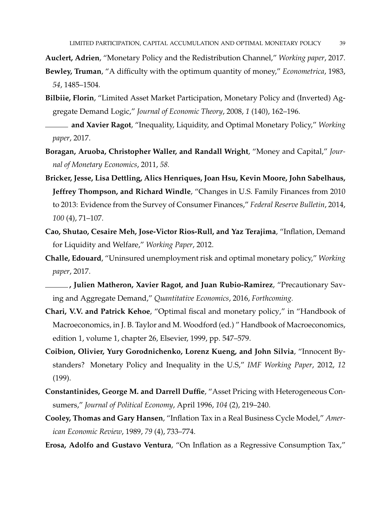**Auclert, Adrien**, "Monetary Policy and the Redistribution Channel," *Working paper*, 2017.

- **Bewley, Truman**, "A difficulty with the optimum quantity of money," *Econometrica*, 1983, *54*, 1485–1504.
- **Bilbiie, Florin**, "Limited Asset Market Participation, Monetary Policy and (Inverted) Aggregate Demand Logic," *Journal of Economic Theory*, 2008, *1* (140), 162–196.
- **and Xavier Ragot**, "Inequality, Liquidity, and Optimal Monetary Policy," *Working paper*, 2017.
- **Boragan, Aruoba, Christopher Waller, and Randall Wright**, "Money and Capital," *Journal of Monetary Economics*, 2011, *58.*
- **Bricker, Jesse, Lisa Dettling, Alics Henriques, Joan Hsu, Kevin Moore, John Sabelhaus, Jeffrey Thompson, and Richard Windle**, "Changes in U.S. Family Finances from 2010 to 2013: Evidence from the Survey of Consumer Finances," *Federal Reserve Bulletin*, 2014, *100* (4), 71–107.
- **Cao, Shutao, Cesaire Meh, Jose-Victor Rios-Rull, and Yaz Terajima**, "Inflation, Demand for Liquidity and Welfare," *Working Paper*, 2012.
- **Challe, Edouard**, "Uninsured unemployment risk and optimal monetary policy," *Working paper*, 2017.
- **, Julien Matheron, Xavier Ragot, and Juan Rubio-Ramirez**, "Precautionary Saving and Aggregate Demand," *Quantitative Economics*, 2016, *Forthcoming.*
- **Chari, V.V. and Patrick Kehoe**, "Optimal fiscal and monetary policy," in "Handbook of Macroeconomics, in J. B. Taylor and M. Woodford (ed.) " Handbook of Macroeconomics, edition 1, volume 1, chapter 26, Elsevier, 1999, pp. 547–579.
- **Coibion, Olivier, Yury Gorodnichenko, Lorenz Kueng, and John Silvia**, "Innocent Bystanders? Monetary Policy and Inequality in the U.S," *IMF Working Paper*, 2012, *12* (199).
- **Constantinides, George M. and Darrell Duffie**, "Asset Pricing with Heterogeneous Consumers," *Journal of Political Economy*, April 1996, *104* (2), 219–240.
- **Cooley, Thomas and Gary Hansen**, "Inflation Tax in a Real Business Cycle Model," *American Economic Review*, 1989, *79* (4), 733–774.
- **Erosa, Adolfo and Gustavo Ventura**, "On Inflation as a Regressive Consumption Tax,"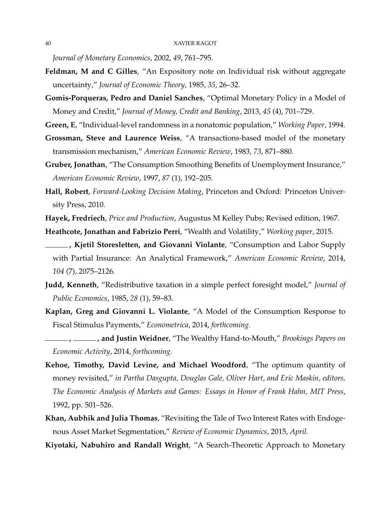*Journal of Monetary Economics*, 2002, *49*, 761–795.

- **Feldman, M and C Gilles**, "An Expository note on Individual risk without aggregate uncertainty," *Journal of Economic Theory*, 1985, *35*, 26–32.
- **Gomis-Porqueras, Pedro and Daniel Sanches**, "Optimal Monetary Policy in a Model of Money and Credit," *Journal of Money, Credit and Banking*, 2013, *45* (4), 701–729.
- **Green, E**, "Individual-level randomness in a nonatomic population," *Working Paper*, 1994.
- **Grossman, Steve and Laurence Weiss**, "A transactions-based model of the monetary transmission mechanism," *American Economic Review*, 1983, *73*, 871–880.
- **Gruber, Jonathan**, "The Consumption Smoothing Benefits of Unemployment Insurance," *American Economic Review*, 1997, *87* (1), 192–205.
- **Hall, Robert**, *Forward-Looking Decision Making*, Princeton and Oxford: Princeton University Press, 2010.

**Hayek, Fredriech**, *Price and Production*, Augustus M Kelley Pubs; Revised edition, 1967.

**Heathcote, Jonathan and Fabrizio Perri**, "Wealth and Volatility," *Working paper*, 2015.

- **, Kjetil Storesletten, and Giovanni Violante**, "Consumption and Labor Supply with Partial Insurance: An Analytical Framework," *American Economic Review*, 2014, *104* (7), 2075–2126.
- **Judd, Kenneth**, "Redistributive taxation in a simple perfect foresight model," *Journal of Public Economics*, 1985, *28* (1), 59–83.
- **Kaplan, Greg and Giovanni L. Violante**, "A Model of the Consumption Response to Fiscal Stimulus Payments," *Econometrica*, 2014, *forthcoming.*

- **Kehoe, Timothy, David Levine, and Michael Woodford**, "The optimum quantity of money revisited," *in Partha Dasgupta, Douglas Gale, Oliver Hart, and Eric Maskin, editors, The Economic Analysis of Markets and Games: Essays in Honor of Frank Hahn, MIT Press*, 1992, pp. 501–526.
- **Khan, Aubhik and Julia Thomas**, "Revisiting the Tale of Two Interest Rates with Endogenous Asset Market Segmentation," *Review of Economic Dynamics*, 2015, *April.*
- **Kiyotaki, Nabuhiro and Randall Wright**, "A Search-Theoretic Approach to Monetary

**<sup>,</sup> , and Justin Weidner**, "The Wealthy Hand-to-Mouth," *Brookings Papers on Economic Activity*, 2014, *forthcoming.*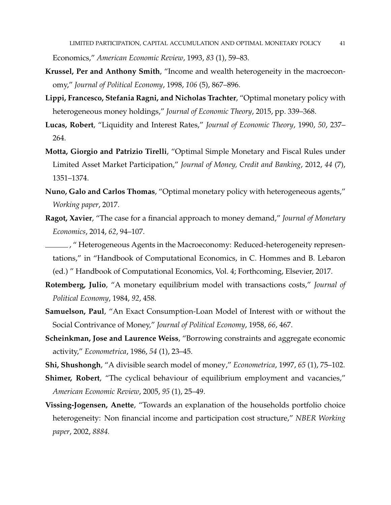Economics," *American Economic Review*, 1993, *83* (1), 59–83.

- **Krussel, Per and Anthony Smith**, "Income and wealth heterogeneity in the macroeconomy," *Journal of Political Economy*, 1998, *106* (5), 867–896.
- **Lippi, Francesco, Stefania Ragni, and Nicholas Trachter**, "Optimal monetary policy with heterogeneous money holdings," *Journal of Economic Theory*, 2015, pp. 339–368.
- **Lucas, Robert**, "Liquidity and Interest Rates," *Journal of Economic Theory*, 1990, *50*, 237– 264.
- **Motta, Giorgio and Patrizio Tirelli**, "Optimal Simple Monetary and Fiscal Rules under Limited Asset Market Participation," *Journal of Money, Credit and Banking*, 2012, *44* (7), 1351–1374.
- **Nuno, Galo and Carlos Thomas**, "Optimal monetary policy with heterogeneous agents," *Working paper*, 2017.
- **Ragot, Xavier**, "The case for a financial approach to money demand," *Journal of Monetary Economics*, 2014, *62*, 94–107.
- , " Heterogeneous Agents in the Macroeconomy: Reduced-heterogeneity representations," in "Handbook of Computational Economics, in C. Hommes and B. Lebaron (ed.) " Handbook of Computational Economics, Vol. 4; Forthcoming, Elsevier, 2017.
- **Rotemberg, Julio**, "A monetary equilibrium model with transactions costs," *Journal of Political Economy*, 1984, *92*, 458.
- **Samuelson, Paul**, "An Exact Consumption-Loan Model of Interest with or without the Social Contrivance of Money," *Journal of Political Economy*, 1958, *66*, 467.
- **Scheinkman, Jose and Laurence Weiss**, "Borrowing constraints and aggregate economic activity," *Econometrica*, 1986, *54* (1), 23–45.
- **Shi, Shushongh**, "A divisible search model of money," *Econometrica*, 1997, *65* (1), 75–102.
- **Shimer, Robert**, "The cyclical behaviour of equilibrium employment and vacancies," *American Economic Review*, 2005, *95* (1), 25–49.
- **Vissing-Jogensen, Anette**, "Towards an explanation of the households portfolio choice heterogeneity: Non financial income and participation cost structure," *NBER Working paper*, 2002, *8884.*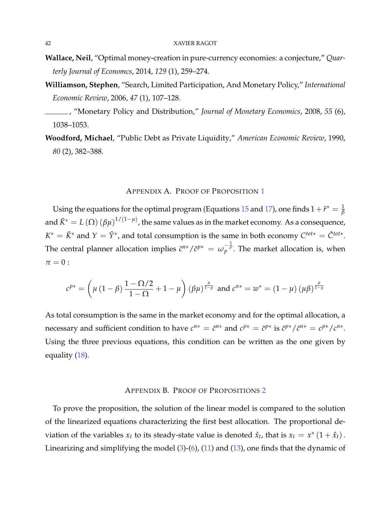- **Wallace, Neil**, "Optimal money-creation in pure-currency economies: a conjecture," *Quarterly Journal of Economcs*, 2014, *129* (1), 259–274.
- **Williamson, Stephen**, "Search, Limited Participation, And Monetary Policy," *International Economic Review*, 2006, *47* (1), 107–128.
- , "Monetary Policy and Distribution," *Journal of Monetary Economics*, 2008, *55* (6), 1038–1053.
- **Woodford, Michael**, "Public Debt as Private Liquidity," *American Economic Review*, 1990, *80* (2), 382–388.

### APPENDIX A. PROOF OF PROPOSITION 1

Using the equations for the optimal program (Equations  $15$  and  $17$ ), one finds  $1+\tilde{r}^*=\frac{1}{\beta}$ and  $\tilde{K}^* = L\left(\Omega\right) (\beta\mu)^{1/(1-\mu)}$ , the same values as in the market economy. As a consequence,  $K^* = \tilde{K}^*$  and  $Y = \tilde{Y}^*$ , and total consumption is the same in both economy  $C^{tot*} = \tilde{C}^{tot*}$ . The central planner allocation implies  $\tilde{c}^{n*}/\tilde{c}^{p*} = \omega_p^{-\frac{1}{\sigma}}$ . The market allocation is, when  $\pi = 0$  :

$$
c^{p*} = \left(\mu \left(1 - \beta\right) \frac{1 - \Omega/2}{1 - \Omega} + 1 - \mu\right) (\beta \mu)^{\frac{\mu}{1 - \mu}} \text{ and } c^{n*} = w^* = \left(1 - \mu\right) (\mu \beta)^{\frac{\mu}{1 - \mu}}
$$

As total consumption is the same in the market economy and for the optimal allocation, a necessary and sufficient condition to have  $c^{n*} = \tilde{c}^{n*}$  and  $c^{p*} = \tilde{c}^{p*}$  is  $\tilde{c}^{p*}/\tilde{c}^{n*} = c^{p*}/c^{n*}$ . Using the three previous equations, this condition can be written as the one given by equality (18).

#### APPENDIX B. PROOF OF PROPOSITIONS 2

To prove the proposition, the solution of the linear model is compared to the solution of the linearized equations characterizing the first best allocation. The proportional deviation of the variables  $x_t$  to its steady-state value is denoted  $\hat{x}_t$ , that is  $x_t = x^* (1 + \hat{x}_t)$ . Linearizing and simplifying the model  $(3)-(6)$ ,  $(11)$  and  $(13)$ , one finds that the dynamic of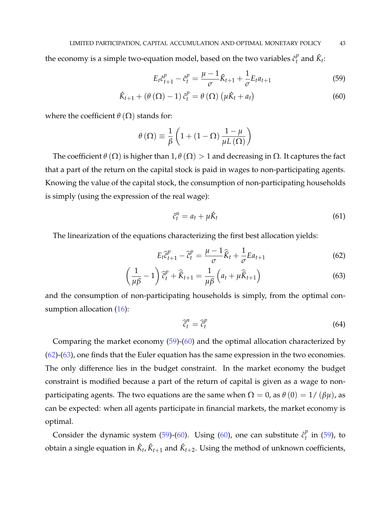the economy is a simple two-equation model, based on the two variables  $\hat{c}_t^p$  $_t^p$  and  $\hat{K}_t$ :

$$
E_t \hat{c}_{t+1}^p - \hat{c}_t^p = \frac{\mu - 1}{\sigma} \hat{K}_{t+1} + \frac{1}{\sigma} E_t a_{t+1}
$$
 (59)

$$
\hat{K}_{t+1} + \left(\theta\left(\Omega\right) - 1\right)\hat{c}_t^p = \theta\left(\Omega\right)\left(\mu\hat{K}_t + a_t\right) \tag{60}
$$

where the coefficient  $\theta(\Omega)$  stands for:

$$
\theta\left(\Omega\right) \equiv \frac{1}{\beta} \left(1 + (1 - \Omega) \frac{1 - \mu}{\mu L\left(\Omega\right)}\right)
$$

The coefficient  $\theta(\Omega)$  is higher than  $1, \theta(\Omega) > 1$  and decreasing in  $\Omega$ . It captures the fact that a part of the return on the capital stock is paid in wages to non-participating agents. Knowing the value of the capital stock, the consumption of non-participating households is simply (using the expression of the real wage):

$$
\hat{c}_t^n = a_t + \mu \hat{K}_t \tag{61}
$$

The linearization of the equations characterizing the first best allocation yields:

$$
E_t \hat{c}_{t+1}^p - \hat{c}_t^p = \frac{\mu - 1}{\sigma} \hat{K}_t + \frac{1}{\sigma} E a_{t+1}
$$
 (62)

$$
\left(\frac{1}{\mu\beta} - 1\right)\hat{\tilde{c}}_t^p + \hat{\tilde{K}}_{t+1} = \frac{1}{\mu\beta}\left(a_t + \mu\hat{\tilde{K}}_{t+1}\right)
$$
\n(63)

and the consumption of non-participating households is simply, from the optimal consumption allocation  $(16)$ :

$$
\widehat{\tilde{c}}_t^n = \widehat{\tilde{c}}_t^n \tag{64}
$$

Comparing the market economy (59)-(60) and the optimal allocation characterized by (62)-(63), one finds that the Euler equation has the same expression in the two economies. The only difference lies in the budget constraint. In the market economy the budget constraint is modified because a part of the return of capital is given as a wage to nonparticipating agents. The two equations are the same when  $\Omega = 0$ , as  $\theta(0) = 1/(\beta\mu)$ , as can be expected: when all agents participate in financial markets, the market economy is optimal.

Consider the dynamic system (59)-(60). Using (60), one can substitute  $\hat{c}_t^p$  $t$ <sup>*t*</sup> in (59), to obtain a single equation in  $\hat{K}_t$ ,  $\hat{K}_{t+1}$  and  $\hat{K}_{t+2}$ . Using the method of unknown coefficients,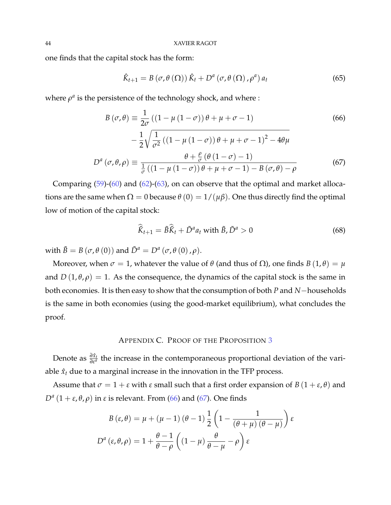one finds that the capital stock has the form:

$$
\hat{K}_{t+1} = B\left(\sigma, \theta\left(\Omega\right)\right) \hat{K}_t + D^a\left(\sigma, \theta\left(\Omega\right), \rho^a\right) a_t \tag{65}
$$

where  $\rho^a$  is the persistence of the technology shock, and where :

$$
B(\sigma,\theta) \equiv \frac{1}{2\sigma} \left( \left(1 - \mu \left(1 - \sigma\right)\right) \theta + \mu + \sigma - 1 \right) \tag{66}
$$
\n
$$
- \frac{1}{2} \sqrt{\frac{1}{\sigma^2} \left( \left(1 - \mu \left(1 - \sigma\right)\right) \theta + \mu + \sigma - 1 \right)^2 - 4\theta \mu}
$$
\n
$$
D^a(\sigma,\theta,\rho) \equiv \frac{\theta + \frac{\rho}{\sigma} \left( \theta \left(1 - \sigma\right) - 1 \right)}{\frac{1}{\sigma} \left( \left(1 - \mu \left(1 - \sigma\right)\right) \theta + \mu + \sigma - 1 \right) - B(\sigma,\theta) - \rho} \tag{67}
$$

Comparing (59)-(60) and (62)-(63), on can observe that the optimal and market allocations are the same when  $\Omega = 0$  because  $\theta(0) = 1/(\mu \beta)$ . One thus directly find the optimal low of motion of the capital stock:

$$
\widehat{\tilde{K}}_{t+1} = \widetilde{B}\widehat{\tilde{K}}_t + \widetilde{D}^a a_t \text{ with } \widetilde{B}, \widetilde{D}^a > 0 \tag{68}
$$

with  $\tilde{B} = B(\sigma, \theta(0))$  and  $\tilde{D}^a = D^a(\sigma, \theta(0), \rho)$ .

Moreover, when  $\sigma = 1$ , whatever the value of  $\theta$  (and thus of  $\Omega$ ), one finds  $B(1,\theta) = \mu$ and  $D(1,\theta,\rho) = 1$ . As the consequence, the dynamics of the capital stock is the same in both economies. It is then easy to show that the consumption of both *P* and *N*−households is the same in both economies (using the good-market equilibrium), what concludes the proof.

#### APPENDIX C. PROOF OF THE PROPOSITION 3

Denote as  $\frac{\partial \hat{x}_t}{\partial \epsilon^a}$  the increase in the contemporaneous proportional deviation of the variable  $\hat{x}_t$  due to a marginal increase in the innovation in the TFP process.

Assume that  $\sigma = 1 + \varepsilon$  with  $\varepsilon$  small such that a first order expansion of  $B(1 + \varepsilon, \theta)$  and *D<sup>a</sup>*  $(1 + ε, θ, ρ)$  in *ε* is relevant. From (66) and (67). One finds

$$
B(\varepsilon, \theta) = \mu + (\mu - 1) (\theta - 1) \frac{1}{2} \left( 1 - \frac{1}{(\theta + \mu) (\theta - \mu)} \right) \varepsilon
$$
  

$$
D^{a}(\varepsilon, \theta, \rho) = 1 + \frac{\theta - 1}{\theta - \rho} \left( (1 - \mu) \frac{\theta}{\theta - \mu} - \rho \right) \varepsilon
$$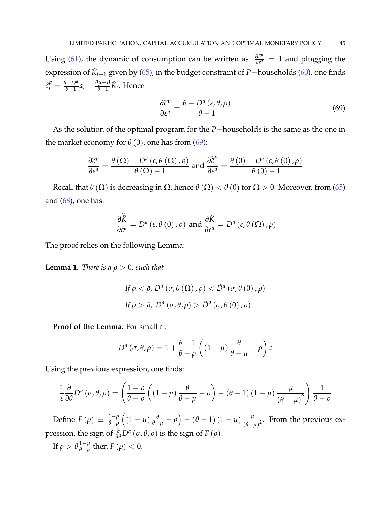Using (61), the dynamic of consumption can be written as  $\frac{\partial \tilde{c}^n}{\partial \epsilon^a} = 1$  and plugging the expression of  $\hat{K}_{t+1}$  given by (65), in the budget constraint of *P*−households (60), one finds  $\hat{c}_t^p = \frac{\theta - D^a}{\theta - 1} a_t + \frac{\theta \mu - B}{\theta - 1}$ <sup>*µ*−*B*</sup>  $\hat{K}_t$ . Hence

$$
\frac{\partial \hat{c}^p}{\partial \varepsilon^a} = \frac{\theta - D^a \left( \varepsilon, \theta, \rho \right)}{\theta - 1} \tag{69}
$$

As the solution of the optimal program for the *P*−households is the same as the one in the market economy for  $\theta$  (0), one has from (69):

$$
\frac{\partial \hat{c}^{p}}{\partial \varepsilon^{a}} = \frac{\theta\left(\Omega\right) - D^{a}\left(\varepsilon, \theta\left(\Omega\right), \rho\right)}{\theta\left(\Omega\right) - 1} \text{ and } \frac{\partial \hat{c}^{p}}{\partial \varepsilon^{a}} = \frac{\theta\left(0\right) - D^{a}\left(\varepsilon, \theta\left(0\right), \rho\right)}{\theta\left(0\right) - 1}
$$

Recall that  $\theta(\Omega)$  is decreasing in  $\Omega$ , hence  $\theta(\Omega) < \theta(0)$  for  $\Omega > 0$ . Moreover, from (65) and  $(68)$ , one has:

$$
\frac{\partial \hat{\vec{K}}}{\partial \varepsilon^{a}} = D^{a}(\varepsilon, \theta(0), \rho) \text{ and } \frac{\partial \hat{K}}{\partial \varepsilon^{a}} = D^{a}(\varepsilon, \theta(\Omega), \rho)
$$

The proof relies on the following Lemma:

**Lemma 1.** *There is a*  $\bar{\rho} > 0$ *, such that* 

$$
\text{If } \rho < \bar{\rho}, \, D^a \left( \sigma, \theta \left( \Omega \right), \rho \right) < \tilde{D}^a \left( \sigma, \theta \left( 0 \right), \rho \right) \\
\text{If } \rho > \bar{\rho}, \, D^a \left( \sigma, \theta, \rho \right) > \tilde{D}^a \left( \sigma, \theta \left( 0 \right), \rho \right)
$$

**Proof of the Lemma**. For small *ε* :

$$
D^{a}(\sigma,\theta,\rho) = 1 + \frac{\theta-1}{\theta-\rho} \left( (1-\mu) \frac{\theta}{\theta-\mu} - \rho \right) \varepsilon
$$

Using the previous expression, one finds:

$$
\frac{1}{\varepsilon} \frac{\partial}{\partial \theta} D^a (\sigma, \theta, \rho) = \left( \frac{1 - \rho}{\theta - \rho} \left( (1 - \mu) \frac{\theta}{\theta - \mu} - \rho \right) - (\theta - 1) (1 - \mu) \frac{\mu}{(\theta - \mu)^2} \right) \frac{1}{\theta - \rho}
$$

Define  $F(\rho) \equiv \frac{1-\rho}{\theta-\rho}$ *θ*−*ρ*  $\left((1-\mu)\frac{\theta}{\theta-\mu}-\rho\right)-\left(\theta-1\right)\left(1-\mu\right)\frac{\mu}{\theta-\mu}$  $\frac{\mu}{(\theta-\mu)^2}$ . From the previous expression, the sign of  $\frac{\partial}{\partial \theta} D^a (\sigma, \theta, \rho)$  is the sign of  $F(\rho)$ . If  $\rho > \theta \frac{1-\mu}{\theta-\mu}$  $\frac{1-\mu}{\theta-\mu}$  then  $F(\rho) < 0$ .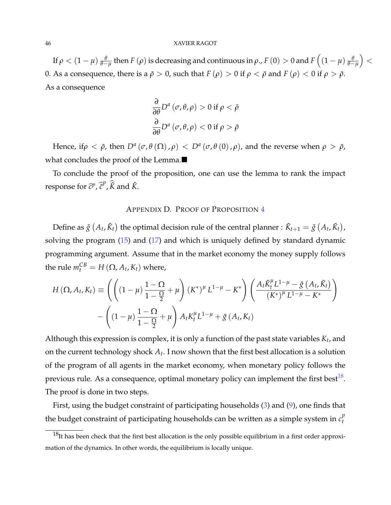If  $\rho < (1-\mu)\frac{\theta}{\theta-\mu}$  then  $F(\rho)$  is decreasing and continuous in  $\rho$ .,  $F(0)>0$  and  $F\left((1-\mu)\frac{\theta}{\theta-\mu}\right)$  $\vert$  < 0. As a consequence, there is a  $\bar{\rho} > 0$ , such that  $F(\rho) > 0$  if  $\rho < \bar{\rho}$  and  $F(\rho) < 0$  if  $\rho > \bar{\rho}$ . As a consequence

$$
\frac{\partial}{\partial \theta} D^a (\sigma, \theta, \rho) > 0 \text{ if } \rho < \bar{\rho}
$$

$$
\frac{\partial}{\partial \theta} D^a (\sigma, \theta, \rho) < 0 \text{ if } \rho > \bar{\rho}
$$

Hence, if $\rho < \bar{\rho}$ , then  $D^a(\sigma, \theta(\Omega), \rho) < D^a(\sigma, \theta(0), \rho)$ , and the reverse when  $\rho > \bar{\rho}$ , what concludes the proof of the Lemma.

To conclude the proof of the proposition, one can use the lemma to rank the impact response for  $\hat{c}^p$ ,  $\hat{\tilde{c}}^p$ ,  $\hat{\tilde{K}}$  and  $\hat{K}$ .

#### APPENDIX D. PROOF OF PROPOSITION 4

Define as  $\tilde{g}$   $(A_t, \tilde{K}_t)$  the optimal decision rule of the central planner :  $\tilde{K}_{t+1} = \tilde{g}$   $(A_t, \tilde{K}_t)$ , solving the program (15) and (17) and which is uniquely defined by standard dynamic programming argument. Assume that in the market economy the money supply follows the rule  $m_t^{CB} = H(\Omega, A_t, K_t)$  where,

$$
H(\Omega, A_t, K_t) \equiv \left( \left( (1 - \mu) \frac{1 - \Omega}{1 - \frac{\Omega}{2}} + \mu \right) (K^*)^{\mu} L^{1 - \mu} - K^* \right) \left( \frac{A_t \tilde{K}_t^{\mu} L^{1 - \mu} - \tilde{g} (A_t, \tilde{K}_t)}{(K^*)^{\mu} L^{1 - \mu} - K^*} \right) - \left( (1 - \mu) \frac{1 - \Omega}{1 - \frac{\Omega}{2}} + \mu \right) A_t K_t^{\mu} L^{1 - \mu} + \tilde{g} (A_t, K_t)
$$

Although this expression is complex, it is only a function of the past state variables *K<sup>t</sup>* , and on the current technology shock *A<sup>t</sup>* . I now shown that the first best allocation is a solution of the program of all agents in the market economy, when monetary policy follows the previous rule. As a consequence, optimal monetary policy can implement the first best $^{18}$ . The proof is done in two steps.

First, using the budget constraint of participating households (3) and (9), one finds that the budget constraint of participating households can be written as a simple system in  $c_t^p$ *t*

 $18$ It has been check that the first best allocation is the only possible equilibrium in a first order approximation of the dynamics. In other words, the equilibrium is locally unique.